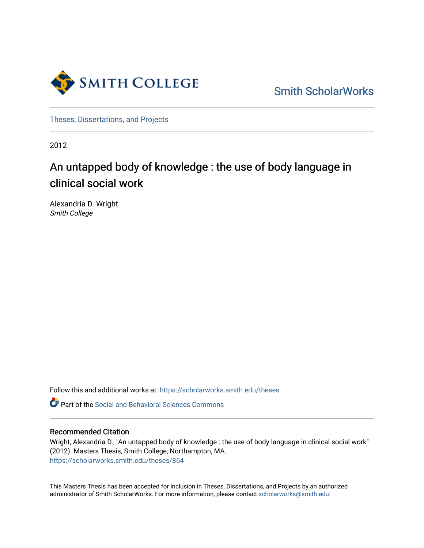

[Smith ScholarWorks](https://scholarworks.smith.edu/) 

[Theses, Dissertations, and Projects](https://scholarworks.smith.edu/theses) 

2012

# An untapped body of knowledge : the use of body language in clinical social work

Alexandria D. Wright Smith College

Follow this and additional works at: [https://scholarworks.smith.edu/theses](https://scholarworks.smith.edu/theses?utm_source=scholarworks.smith.edu%2Ftheses%2F864&utm_medium=PDF&utm_campaign=PDFCoverPages) 

Part of the [Social and Behavioral Sciences Commons](http://network.bepress.com/hgg/discipline/316?utm_source=scholarworks.smith.edu%2Ftheses%2F864&utm_medium=PDF&utm_campaign=PDFCoverPages) 

#### Recommended Citation

Wright, Alexandria D., "An untapped body of knowledge : the use of body language in clinical social work" (2012). Masters Thesis, Smith College, Northampton, MA. [https://scholarworks.smith.edu/theses/864](https://scholarworks.smith.edu/theses/864?utm_source=scholarworks.smith.edu%2Ftheses%2F864&utm_medium=PDF&utm_campaign=PDFCoverPages) 

This Masters Thesis has been accepted for inclusion in Theses, Dissertations, and Projects by an authorized administrator of Smith ScholarWorks. For more information, please contact [scholarworks@smith.edu](mailto:scholarworks@smith.edu).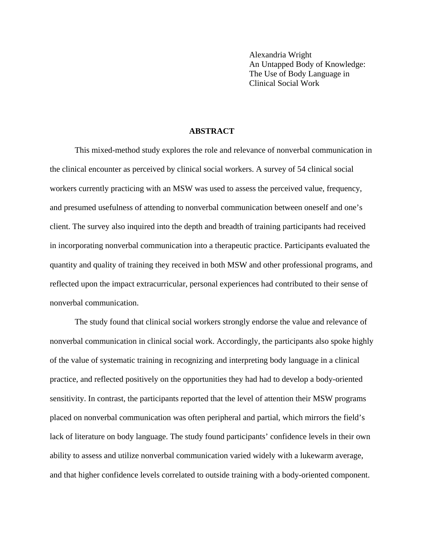Alexandria Wright An Untapped Body of Knowledge: The Use of Body Language in Clinical Social Work

#### **ABSTRACT**

This mixed-method study explores the role and relevance of nonverbal communication in the clinical encounter as perceived by clinical social workers. A survey of 54 clinical social workers currently practicing with an MSW was used to assess the perceived value, frequency, and presumed usefulness of attending to nonverbal communication between oneself and one's client. The survey also inquired into the depth and breadth of training participants had received in incorporating nonverbal communication into a therapeutic practice. Participants evaluated the quantity and quality of training they received in both MSW and other professional programs, and reflected upon the impact extracurricular, personal experiences had contributed to their sense of nonverbal communication.

The study found that clinical social workers strongly endorse the value and relevance of nonverbal communication in clinical social work. Accordingly, the participants also spoke highly of the value of systematic training in recognizing and interpreting body language in a clinical practice, and reflected positively on the opportunities they had had to develop a body-oriented sensitivity. In contrast, the participants reported that the level of attention their MSW programs placed on nonverbal communication was often peripheral and partial, which mirrors the field's lack of literature on body language. The study found participants' confidence levels in their own ability to assess and utilize nonverbal communication varied widely with a lukewarm average, and that higher confidence levels correlated to outside training with a body-oriented component.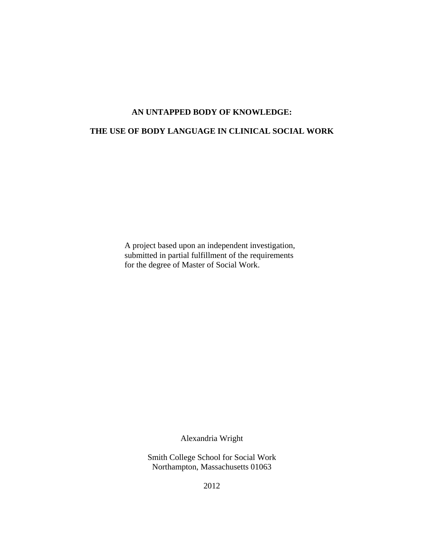### **AN UNTAPPED BODY OF KNOWLEDGE:**

### **THE USE OF BODY LANGUAGE IN CLINICAL SOCIAL WORK**

A project based upon an independent investigation, submitted in partial fulfillment of the requirements for the degree of Master of Social Work.

Alexandria Wright

Smith College School for Social Work Northampton, Massachusetts 01063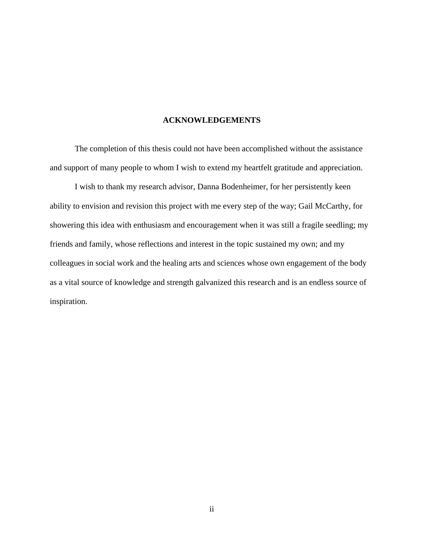#### **ACKNOWLEDGEMENTS**

The completion of this thesis could not have been accomplished without the assistance and support of many people to whom I wish to extend my heartfelt gratitude and appreciation.

I wish to thank my research advisor, Danna Bodenheimer, for her persistently keen ability to envision and revision this project with me every step of the way; Gail McCarthy, for showering this idea with enthusiasm and encouragement when it was still a fragile seedling; my friends and family, whose reflections and interest in the topic sustained my own; and my colleagues in social work and the healing arts and sciences whose own engagement of the body as a vital source of knowledge and strength galvanized this research and is an endless source of inspiration.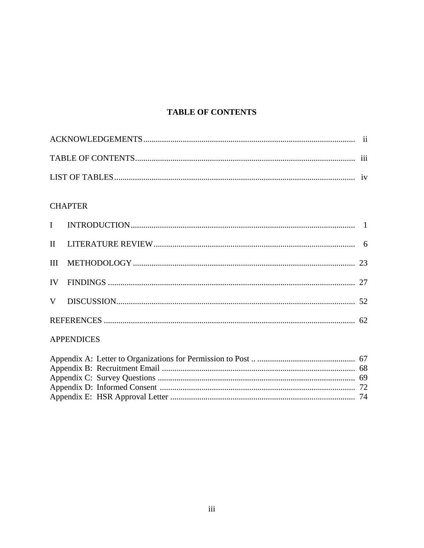# **TABLE OF CONTENTS**

# **CHAPTER**

# **APPENDICES**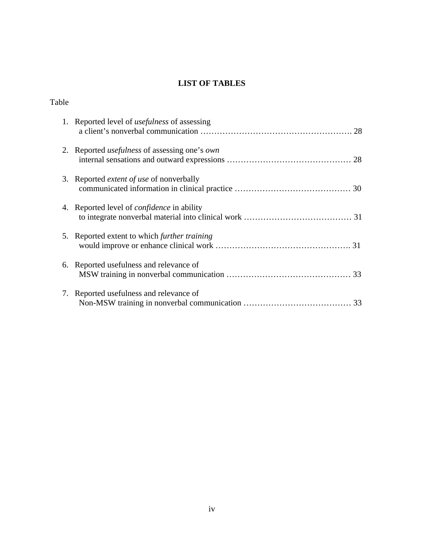# **LIST OF TABLES**

Table

|    | 1. Reported level of <i>usefulness</i> of assessing         |
|----|-------------------------------------------------------------|
|    | 2. Reported <i>usefulness</i> of assessing one's <i>own</i> |
|    | 3. Reported <i>extent of use</i> of nonverbally             |
|    | 4. Reported level of <i>confidence</i> in ability           |
|    | 5. Reported extent to which <i>further training</i>         |
|    | 6. Reported usefulness and relevance of<br>33               |
| 7. | Reported usefulness and relevance of                        |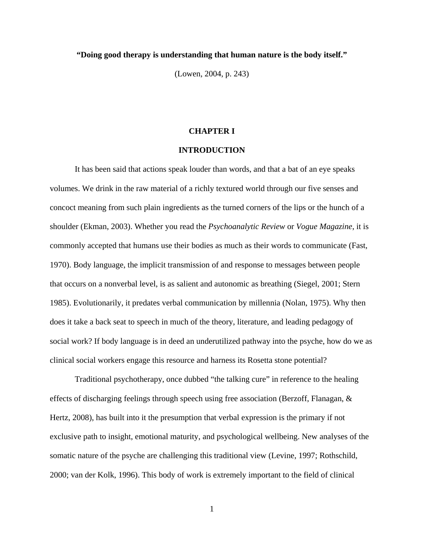#### **"Doing good therapy is understanding that human nature is the body itself."**

(Lowen, 2004, p. 243)

#### **CHAPTER I**

#### **INTRODUCTION**

It has been said that actions speak louder than words, and that a bat of an eye speaks volumes. We drink in the raw material of a richly textured world through our five senses and concoct meaning from such plain ingredients as the turned corners of the lips or the hunch of a shoulder (Ekman, 2003). Whether you read the *Psychoanalytic Review* or *Vogue Magazine*, it is commonly accepted that humans use their bodies as much as their words to communicate (Fast, 1970). Body language, the implicit transmission of and response to messages between people that occurs on a nonverbal level, is as salient and autonomic as breathing (Siegel, 2001; Stern 1985). Evolutionarily, it predates verbal communication by millennia (Nolan, 1975). Why then does it take a back seat to speech in much of the theory, literature, and leading pedagogy of social work? If body language is in deed an underutilized pathway into the psyche, how do we as clinical social workers engage this resource and harness its Rosetta stone potential?

Traditional psychotherapy, once dubbed "the talking cure" in reference to the healing effects of discharging feelings through speech using free association (Berzoff, Flanagan, & Hertz, 2008), has built into it the presumption that verbal expression is the primary if not exclusive path to insight, emotional maturity, and psychological wellbeing. New analyses of the somatic nature of the psyche are challenging this traditional view (Levine, 1997; Rothschild, 2000; van der Kolk, 1996). This body of work is extremely important to the field of clinical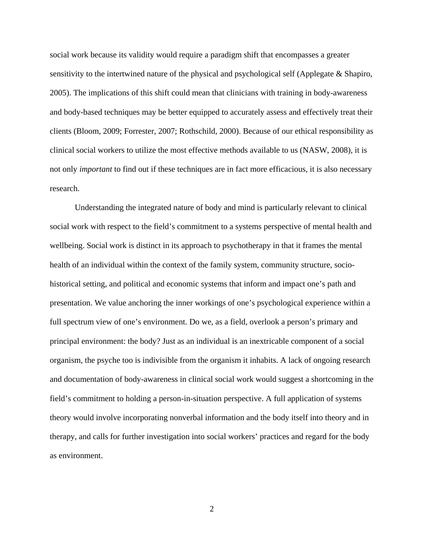social work because its validity would require a paradigm shift that encompasses a greater sensitivity to the intertwined nature of the physical and psychological self (Applegate & Shapiro, 2005). The implications of this shift could mean that clinicians with training in body-awareness and body-based techniques may be better equipped to accurately assess and effectively treat their clients (Bloom, 2009; Forrester, 2007; Rothschild, 2000). Because of our ethical responsibility as clinical social workers to utilize the most effective methods available to us (NASW, 2008), it is not only *important* to find out if these techniques are in fact more efficacious, it is also necessary research.

Understanding the integrated nature of body and mind is particularly relevant to clinical social work with respect to the field's commitment to a systems perspective of mental health and wellbeing. Social work is distinct in its approach to psychotherapy in that it frames the mental health of an individual within the context of the family system, community structure, sociohistorical setting, and political and economic systems that inform and impact one's path and presentation. We value anchoring the inner workings of one's psychological experience within a full spectrum view of one's environment. Do we, as a field, overlook a person's primary and principal environment: the body? Just as an individual is an inextricable component of a social organism, the psyche too is indivisible from the organism it inhabits. A lack of ongoing research and documentation of body-awareness in clinical social work would suggest a shortcoming in the field's commitment to holding a person-in-situation perspective. A full application of systems theory would involve incorporating nonverbal information and the body itself into theory and in therapy, and calls for further investigation into social workers' practices and regard for the body as environment.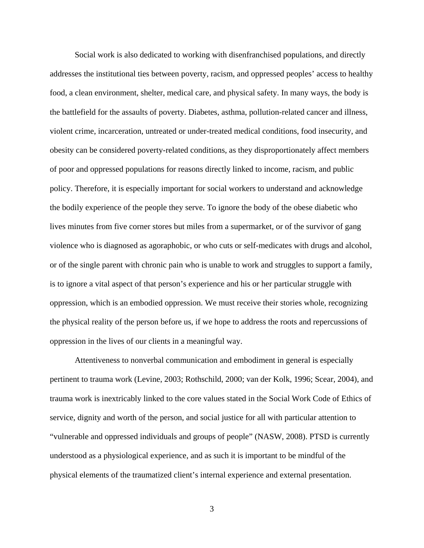Social work is also dedicated to working with disenfranchised populations, and directly addresses the institutional ties between poverty, racism, and oppressed peoples' access to healthy food, a clean environment, shelter, medical care, and physical safety. In many ways, the body is the battlefield for the assaults of poverty. Diabetes, asthma, pollution-related cancer and illness, violent crime, incarceration, untreated or under-treated medical conditions, food insecurity, and obesity can be considered poverty-related conditions, as they disproportionately affect members of poor and oppressed populations for reasons directly linked to income, racism, and public policy. Therefore, it is especially important for social workers to understand and acknowledge the bodily experience of the people they serve. To ignore the body of the obese diabetic who lives minutes from five corner stores but miles from a supermarket, or of the survivor of gang violence who is diagnosed as agoraphobic, or who cuts or self-medicates with drugs and alcohol, or of the single parent with chronic pain who is unable to work and struggles to support a family, is to ignore a vital aspect of that person's experience and his or her particular struggle with oppression, which is an embodied oppression. We must receive their stories whole, recognizing the physical reality of the person before us, if we hope to address the roots and repercussions of oppression in the lives of our clients in a meaningful way.

Attentiveness to nonverbal communication and embodiment in general is especially pertinent to trauma work (Levine, 2003; Rothschild, 2000; van der Kolk, 1996; Scear, 2004), and trauma work is inextricably linked to the core values stated in the Social Work Code of Ethics of service, dignity and worth of the person, and social justice for all with particular attention to "vulnerable and oppressed individuals and groups of people" (NASW, 2008). PTSD is currently understood as a physiological experience, and as such it is important to be mindful of the physical elements of the traumatized client's internal experience and external presentation.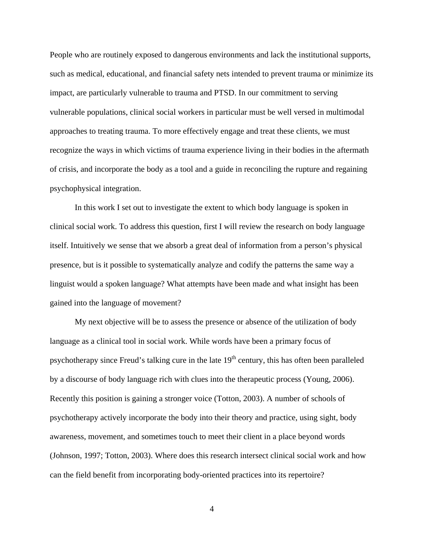People who are routinely exposed to dangerous environments and lack the institutional supports, such as medical, educational, and financial safety nets intended to prevent trauma or minimize its impact, are particularly vulnerable to trauma and PTSD. In our commitment to serving vulnerable populations, clinical social workers in particular must be well versed in multimodal approaches to treating trauma. To more effectively engage and treat these clients, we must recognize the ways in which victims of trauma experience living in their bodies in the aftermath of crisis, and incorporate the body as a tool and a guide in reconciling the rupture and regaining psychophysical integration.

In this work I set out to investigate the extent to which body language is spoken in clinical social work. To address this question, first I will review the research on body language itself. Intuitively we sense that we absorb a great deal of information from a person's physical presence, but is it possible to systematically analyze and codify the patterns the same way a linguist would a spoken language? What attempts have been made and what insight has been gained into the language of movement?

My next objective will be to assess the presence or absence of the utilization of body language as a clinical tool in social work. While words have been a primary focus of psychotherapy since Freud's talking cure in the late  $19<sup>th</sup>$  century, this has often been paralleled by a discourse of body language rich with clues into the therapeutic process (Young, 2006). Recently this position is gaining a stronger voice (Totton, 2003). A number of schools of psychotherapy actively incorporate the body into their theory and practice, using sight, body awareness, movement, and sometimes touch to meet their client in a place beyond words (Johnson, 1997; Totton, 2003). Where does this research intersect clinical social work and how can the field benefit from incorporating body-oriented practices into its repertoire?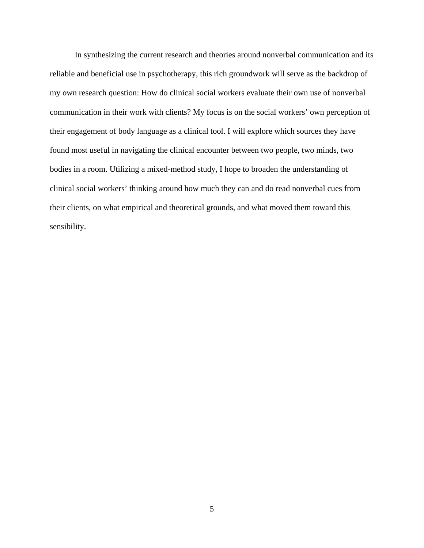In synthesizing the current research and theories around nonverbal communication and its reliable and beneficial use in psychotherapy, this rich groundwork will serve as the backdrop of my own research question: How do clinical social workers evaluate their own use of nonverbal communication in their work with clients? My focus is on the social workers' own perception of their engagement of body language as a clinical tool. I will explore which sources they have found most useful in navigating the clinical encounter between two people, two minds, two bodies in a room. Utilizing a mixed-method study, I hope to broaden the understanding of clinical social workers' thinking around how much they can and do read nonverbal cues from their clients, on what empirical and theoretical grounds, and what moved them toward this sensibility.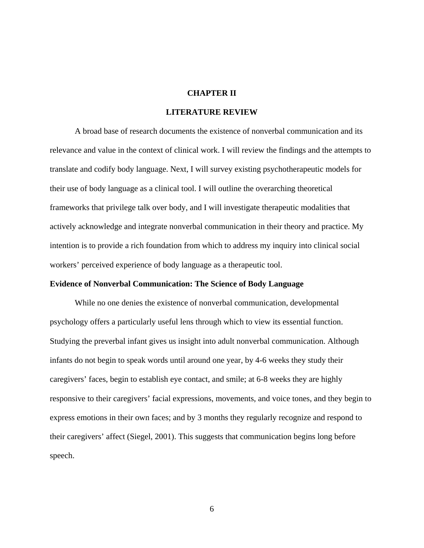#### **CHAPTER II**

#### **LITERATURE REVIEW**

A broad base of research documents the existence of nonverbal communication and its relevance and value in the context of clinical work. I will review the findings and the attempts to translate and codify body language. Next, I will survey existing psychotherapeutic models for their use of body language as a clinical tool. I will outline the overarching theoretical frameworks that privilege talk over body, and I will investigate therapeutic modalities that actively acknowledge and integrate nonverbal communication in their theory and practice. My intention is to provide a rich foundation from which to address my inquiry into clinical social workers' perceived experience of body language as a therapeutic tool.

#### **Evidence of Nonverbal Communication: The Science of Body Language**

While no one denies the existence of nonverbal communication, developmental psychology offers a particularly useful lens through which to view its essential function. Studying the preverbal infant gives us insight into adult nonverbal communication. Although infants do not begin to speak words until around one year, by 4-6 weeks they study their caregivers' faces, begin to establish eye contact, and smile; at 6-8 weeks they are highly responsive to their caregivers' facial expressions, movements, and voice tones, and they begin to express emotions in their own faces; and by 3 months they regularly recognize and respond to their caregivers' affect (Siegel, 2001). This suggests that communication begins long before speech.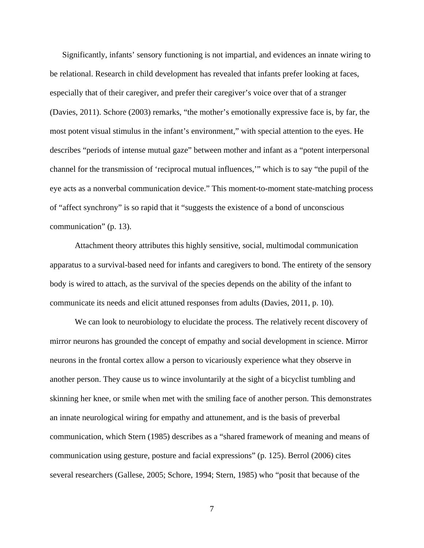Significantly, infants' sensory functioning is not impartial, and evidences an innate wiring to be relational. Research in child development has revealed that infants prefer looking at faces, especially that of their caregiver, and prefer their caregiver's voice over that of a stranger (Davies, 2011). Schore (2003) remarks, "the mother's emotionally expressive face is, by far, the most potent visual stimulus in the infant's environment," with special attention to the eyes. He describes "periods of intense mutual gaze" between mother and infant as a "potent interpersonal channel for the transmission of 'reciprocal mutual influences,'" which is to say "the pupil of the eye acts as a nonverbal communication device." This moment-to-moment state-matching process of "affect synchrony" is so rapid that it "suggests the existence of a bond of unconscious communication" (p. 13).

Attachment theory attributes this highly sensitive, social, multimodal communication apparatus to a survival-based need for infants and caregivers to bond. The entirety of the sensory body is wired to attach, as the survival of the species depends on the ability of the infant to communicate its needs and elicit attuned responses from adults (Davies, 2011, p. 10).

We can look to neurobiology to elucidate the process. The relatively recent discovery of mirror neurons has grounded the concept of empathy and social development in science. Mirror neurons in the frontal cortex allow a person to vicariously experience what they observe in another person. They cause us to wince involuntarily at the sight of a bicyclist tumbling and skinning her knee, or smile when met with the smiling face of another person. This demonstrates an innate neurological wiring for empathy and attunement, and is the basis of preverbal communication, which Stern (1985) describes as a "shared framework of meaning and means of communication using gesture, posture and facial expressions" (p. 125). Berrol (2006) cites several researchers (Gallese, 2005; Schore, 1994; Stern, 1985) who "posit that because of the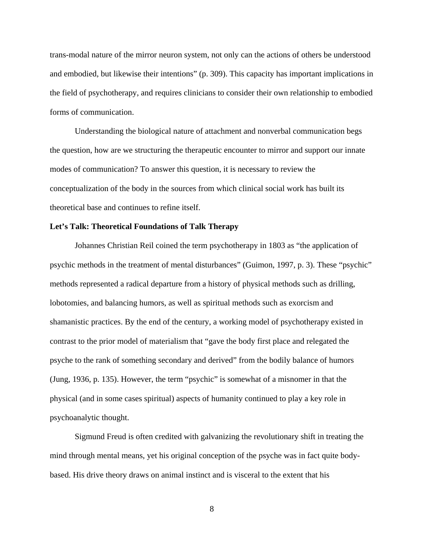trans-modal nature of the mirror neuron system, not only can the actions of others be understood and embodied, but likewise their intentions" (p. 309). This capacity has important implications in the field of psychotherapy, and requires clinicians to consider their own relationship to embodied forms of communication.

Understanding the biological nature of attachment and nonverbal communication begs the question, how are we structuring the therapeutic encounter to mirror and support our innate modes of communication? To answer this question, it is necessary to review the conceptualization of the body in the sources from which clinical social work has built its theoretical base and continues to refine itself.

#### **Let's Talk: Theoretical Foundations of Talk Therapy**

Johannes Christian Reil coined the term psychotherapy in 1803 as "the application of psychic methods in the treatment of mental disturbances" (Guimon, 1997, p. 3). These "psychic" methods represented a radical departure from a history of physical methods such as drilling, lobotomies, and balancing humors, as well as spiritual methods such as exorcism and shamanistic practices. By the end of the century, a working model of psychotherapy existed in contrast to the prior model of materialism that "gave the body first place and relegated the psyche to the rank of something secondary and derived" from the bodily balance of humors (Jung, 1936, p. 135). However, the term "psychic" is somewhat of a misnomer in that the physical (and in some cases spiritual) aspects of humanity continued to play a key role in psychoanalytic thought.

Sigmund Freud is often credited with galvanizing the revolutionary shift in treating the mind through mental means, yet his original conception of the psyche was in fact quite bodybased. His drive theory draws on animal instinct and is visceral to the extent that his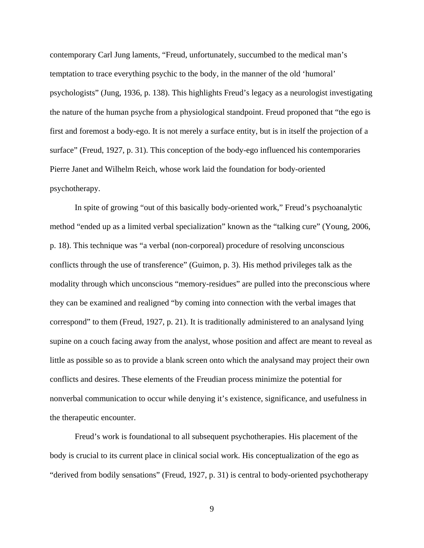contemporary Carl Jung laments, "Freud, unfortunately, succumbed to the medical man's temptation to trace everything psychic to the body, in the manner of the old 'humoral' psychologists" (Jung, 1936, p. 138). This highlights Freud's legacy as a neurologist investigating the nature of the human psyche from a physiological standpoint. Freud proponed that "the ego is first and foremost a body-ego. It is not merely a surface entity, but is in itself the projection of a surface" (Freud, 1927, p. 31). This conception of the body-ego influenced his contemporaries Pierre Janet and Wilhelm Reich, whose work laid the foundation for body-oriented psychotherapy.

In spite of growing "out of this basically body-oriented work," Freud's psychoanalytic method "ended up as a limited verbal specialization" known as the "talking cure" (Young, 2006, p. 18). This technique was "a verbal (non-corporeal) procedure of resolving unconscious conflicts through the use of transference" (Guimon, p. 3). His method privileges talk as the modality through which unconscious "memory-residues" are pulled into the preconscious where they can be examined and realigned "by coming into connection with the verbal images that correspond" to them (Freud, 1927, p. 21). It is traditionally administered to an analysand lying supine on a couch facing away from the analyst, whose position and affect are meant to reveal as little as possible so as to provide a blank screen onto which the analysand may project their own conflicts and desires. These elements of the Freudian process minimize the potential for nonverbal communication to occur while denying it's existence, significance, and usefulness in the therapeutic encounter.

Freud's work is foundational to all subsequent psychotherapies. His placement of the body is crucial to its current place in clinical social work. His conceptualization of the ego as "derived from bodily sensations" (Freud, 1927, p. 31) is central to body-oriented psychotherapy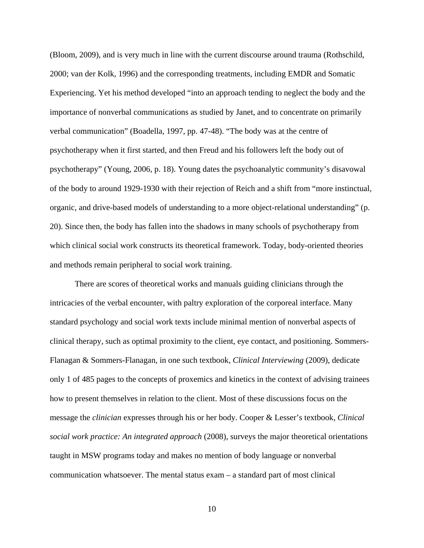(Bloom, 2009), and is very much in line with the current discourse around trauma (Rothschild, 2000; van der Kolk, 1996) and the corresponding treatments, including EMDR and Somatic Experiencing. Yet his method developed "into an approach tending to neglect the body and the importance of nonverbal communications as studied by Janet, and to concentrate on primarily verbal communication" (Boadella, 1997, pp. 47-48). "The body was at the centre of psychotherapy when it first started, and then Freud and his followers left the body out of psychotherapy" (Young, 2006, p. 18). Young dates the psychoanalytic community's disavowal of the body to around 1929-1930 with their rejection of Reich and a shift from "more instinctual, organic, and drive-based models of understanding to a more object-relational understanding" (p. 20). Since then, the body has fallen into the shadows in many schools of psychotherapy from which clinical social work constructs its theoretical framework. Today, body-oriented theories and methods remain peripheral to social work training.

There are scores of theoretical works and manuals guiding clinicians through the intricacies of the verbal encounter, with paltry exploration of the corporeal interface. Many standard psychology and social work texts include minimal mention of nonverbal aspects of clinical therapy, such as optimal proximity to the client, eye contact, and positioning. Sommers-Flanagan & Sommers-Flanagan, in one such textbook, *Clinical Interviewing* (2009), dedicate only 1 of 485 pages to the concepts of proxemics and kinetics in the context of advising trainees how to present themselves in relation to the client. Most of these discussions focus on the message the *clinician* expresses through his or her body. Cooper & Lesser's textbook, *Clinical social work practice: An integrated approach* (2008), surveys the major theoretical orientations taught in MSW programs today and makes no mention of body language or nonverbal communication whatsoever. The mental status exam – a standard part of most clinical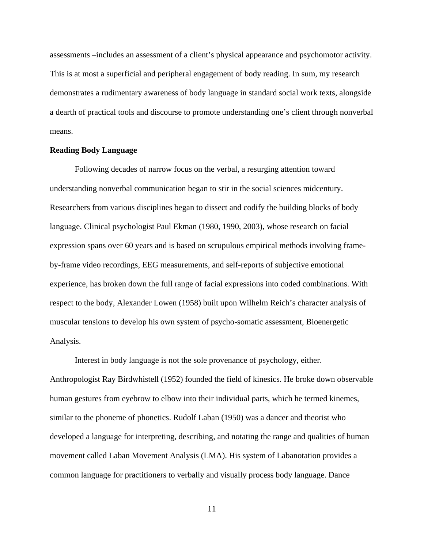assessments –includes an assessment of a client's physical appearance and psychomotor activity. This is at most a superficial and peripheral engagement of body reading. In sum, my research demonstrates a rudimentary awareness of body language in standard social work texts, alongside a dearth of practical tools and discourse to promote understanding one's client through nonverbal means.

#### **Reading Body Language**

Following decades of narrow focus on the verbal, a resurging attention toward understanding nonverbal communication began to stir in the social sciences midcentury. Researchers from various disciplines began to dissect and codify the building blocks of body language. Clinical psychologist Paul Ekman (1980, 1990, 2003), whose research on facial expression spans over 60 years and is based on scrupulous empirical methods involving frameby-frame video recordings, EEG measurements, and self-reports of subjective emotional experience, has broken down the full range of facial expressions into coded combinations. With respect to the body, Alexander Lowen (1958) built upon Wilhelm Reich's character analysis of muscular tensions to develop his own system of psycho-somatic assessment, Bioenergetic Analysis.

Interest in body language is not the sole provenance of psychology, either. Anthropologist Ray Birdwhistell (1952) founded the field of kinesics. He broke down observable human gestures from eyebrow to elbow into their individual parts, which he termed kinemes, similar to the phoneme of phonetics. Rudolf Laban (1950) was a dancer and theorist who developed a language for interpreting, describing, and notating the range and qualities of human movement called Laban Movement Analysis (LMA). His system of Labanotation provides a common language for practitioners to verbally and visually process body language. Dance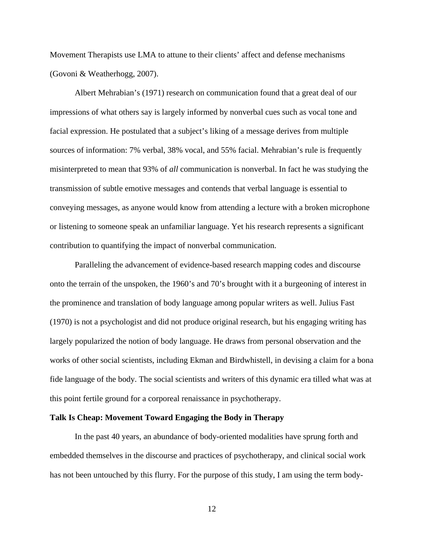Movement Therapists use LMA to attune to their clients' affect and defense mechanisms (Govoni & Weatherhogg, 2007).

Albert Mehrabian's (1971) research on communication found that a great deal of our impressions of what others say is largely informed by nonverbal cues such as vocal tone and facial expression. He postulated that a subject's liking of a message derives from multiple sources of information: 7% verbal, 38% vocal, and 55% facial. Mehrabian's rule is frequently misinterpreted to mean that 93% of *all* communication is nonverbal. In fact he was studying the transmission of subtle emotive messages and contends that verbal language is essential to conveying messages, as anyone would know from attending a lecture with a broken microphone or listening to someone speak an unfamiliar language. Yet his research represents a significant contribution to quantifying the impact of nonverbal communication.

Paralleling the advancement of evidence-based research mapping codes and discourse onto the terrain of the unspoken, the 1960's and 70's brought with it a burgeoning of interest in the prominence and translation of body language among popular writers as well. Julius Fast (1970) is not a psychologist and did not produce original research, but his engaging writing has largely popularized the notion of body language. He draws from personal observation and the works of other social scientists, including Ekman and Birdwhistell, in devising a claim for a bona fide language of the body. The social scientists and writers of this dynamic era tilled what was at this point fertile ground for a corporeal renaissance in psychotherapy.

#### **Talk Is Cheap: Movement Toward Engaging the Body in Therapy**

 In the past 40 years, an abundance of body-oriented modalities have sprung forth and embedded themselves in the discourse and practices of psychotherapy, and clinical social work has not been untouched by this flurry. For the purpose of this study, I am using the term body-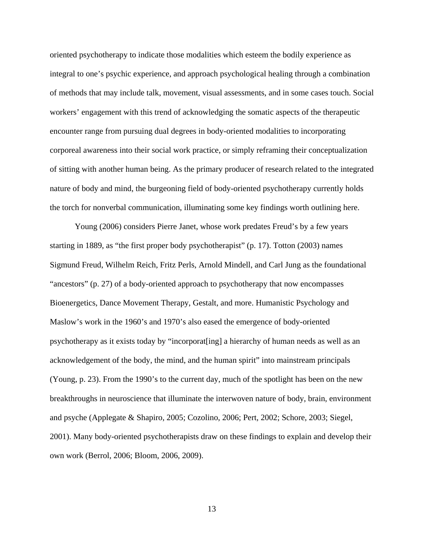oriented psychotherapy to indicate those modalities which esteem the bodily experience as integral to one's psychic experience, and approach psychological healing through a combination of methods that may include talk, movement, visual assessments, and in some cases touch. Social workers' engagement with this trend of acknowledging the somatic aspects of the therapeutic encounter range from pursuing dual degrees in body-oriented modalities to incorporating corporeal awareness into their social work practice, or simply reframing their conceptualization of sitting with another human being. As the primary producer of research related to the integrated nature of body and mind, the burgeoning field of body-oriented psychotherapy currently holds the torch for nonverbal communication, illuminating some key findings worth outlining here.

Young (2006) considers Pierre Janet, whose work predates Freud's by a few years starting in 1889, as "the first proper body psychotherapist" (p. 17). Totton (2003) names Sigmund Freud, Wilhelm Reich, Fritz Perls, Arnold Mindell, and Carl Jung as the foundational "ancestors" (p. 27) of a body-oriented approach to psychotherapy that now encompasses Bioenergetics, Dance Movement Therapy, Gestalt, and more. Humanistic Psychology and Maslow's work in the 1960's and 1970's also eased the emergence of body-oriented psychotherapy as it exists today by "incorporat[ing] a hierarchy of human needs as well as an acknowledgement of the body, the mind, and the human spirit" into mainstream principals (Young, p. 23). From the 1990's to the current day, much of the spotlight has been on the new breakthroughs in neuroscience that illuminate the interwoven nature of body, brain, environment and psyche (Applegate & Shapiro, 2005; Cozolino, 2006; Pert, 2002; Schore, 2003; Siegel, 2001). Many body-oriented psychotherapists draw on these findings to explain and develop their own work (Berrol, 2006; Bloom, 2006, 2009).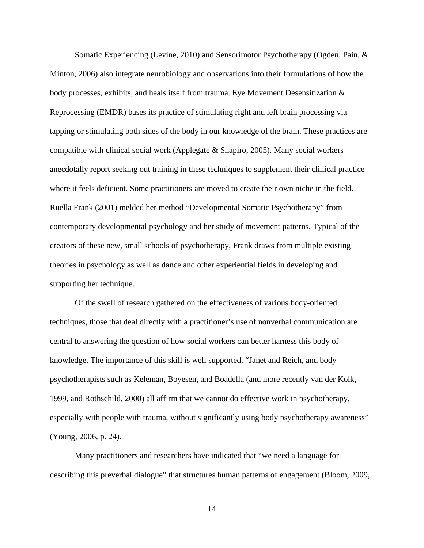Somatic Experiencing (Levine, 2010) and Sensorimotor Psychotherapy (Ogden, Pain, & Minton, 2006) also integrate neurobiology and observations into their formulations of how the body processes, exhibits, and heals itself from trauma. Eye Movement Desensitization & Reprocessing (EMDR) bases its practice of stimulating right and left brain processing via tapping or stimulating both sides of the body in our knowledge of the brain. These practices are compatible with clinical social work (Applegate & Shapiro, 2005). Many social workers anecdotally report seeking out training in these techniques to supplement their clinical practice where it feels deficient. Some practitioners are moved to create their own niche in the field. Ruella Frank (2001) melded her method "Developmental Somatic Psychotherapy" from contemporary developmental psychology and her study of movement patterns. Typical of the creators of these new, small schools of psychotherapy, Frank draws from multiple existing theories in psychology as well as dance and other experiential fields in developing and supporting her technique.

Of the swell of research gathered on the effectiveness of various body-oriented techniques, those that deal directly with a practitioner's use of nonverbal communication are central to answering the question of how social workers can better harness this body of knowledge. The importance of this skill is well supported. "Janet and Reich, and body psychotherapists such as Keleman, Boyesen, and Boadella (and more recently van der Kolk, 1999, and Rothschild, 2000) all affirm that we cannot do effective work in psychotherapy, especially with people with trauma, without significantly using body psychotherapy awareness" (Young, 2006, p. 24).

Many practitioners and researchers have indicated that "we need a language for describing this preverbal dialogue" that structures human patterns of engagement (Bloom, 2009,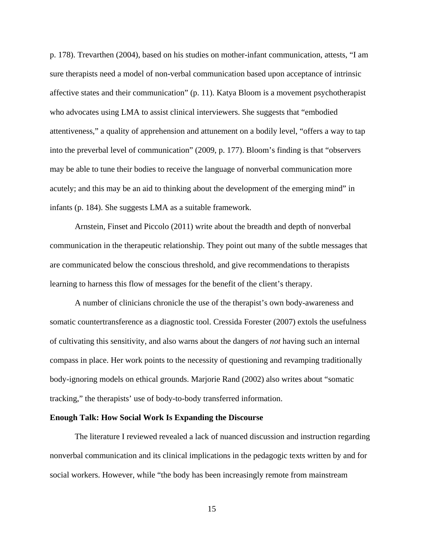p. 178). Trevarthen (2004), based on his studies on mother-infant communication, attests, "I am sure therapists need a model of non-verbal communication based upon acceptance of intrinsic affective states and their communication" (p. 11). Katya Bloom is a movement psychotherapist who advocates using LMA to assist clinical interviewers. She suggests that "embodied attentiveness," a quality of apprehension and attunement on a bodily level, "offers a way to tap into the preverbal level of communication" (2009, p. 177). Bloom's finding is that "observers may be able to tune their bodies to receive the language of nonverbal communication more acutely; and this may be an aid to thinking about the development of the emerging mind" in infants (p. 184). She suggests LMA as a suitable framework.

Arnstein, Finset and Piccolo (2011) write about the breadth and depth of nonverbal communication in the therapeutic relationship. They point out many of the subtle messages that are communicated below the conscious threshold, and give recommendations to therapists learning to harness this flow of messages for the benefit of the client's therapy.

A number of clinicians chronicle the use of the therapist's own body-awareness and somatic countertransference as a diagnostic tool. Cressida Forester (2007) extols the usefulness of cultivating this sensitivity, and also warns about the dangers of *not* having such an internal compass in place. Her work points to the necessity of questioning and revamping traditionally body-ignoring models on ethical grounds. Marjorie Rand (2002) also writes about "somatic tracking," the therapists' use of body-to-body transferred information.

#### **Enough Talk: How Social Work Is Expanding the Discourse**

The literature I reviewed revealed a lack of nuanced discussion and instruction regarding nonverbal communication and its clinical implications in the pedagogic texts written by and for social workers. However, while "the body has been increasingly remote from mainstream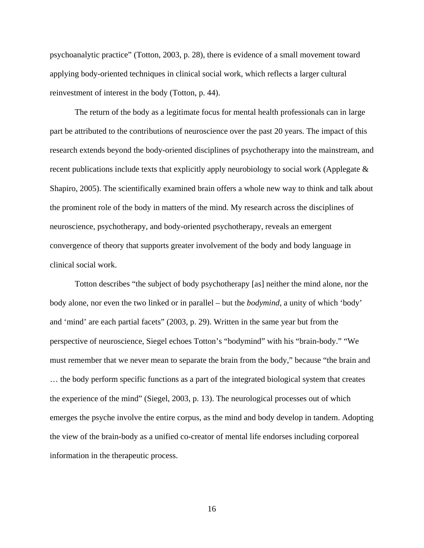psychoanalytic practice" (Totton, 2003, p. 28), there is evidence of a small movement toward applying body-oriented techniques in clinical social work, which reflects a larger cultural reinvestment of interest in the body (Totton, p. 44).

The return of the body as a legitimate focus for mental health professionals can in large part be attributed to the contributions of neuroscience over the past 20 years. The impact of this research extends beyond the body-oriented disciplines of psychotherapy into the mainstream, and recent publications include texts that explicitly apply neurobiology to social work (Applegate & Shapiro, 2005). The scientifically examined brain offers a whole new way to think and talk about the prominent role of the body in matters of the mind. My research across the disciplines of neuroscience, psychotherapy, and body-oriented psychotherapy, reveals an emergent convergence of theory that supports greater involvement of the body and body language in clinical social work.

Totton describes "the subject of body psychotherapy [as] neither the mind alone, nor the body alone, nor even the two linked or in parallel – but the *bodymind*, a unity of which 'body' and 'mind' are each partial facets" (2003, p. 29). Written in the same year but from the perspective of neuroscience, Siegel echoes Totton's "bodymind" with his "brain-body." "We must remember that we never mean to separate the brain from the body," because "the brain and … the body perform specific functions as a part of the integrated biological system that creates the experience of the mind" (Siegel, 2003, p. 13). The neurological processes out of which emerges the psyche involve the entire corpus, as the mind and body develop in tandem. Adopting the view of the brain-body as a unified co-creator of mental life endorses including corporeal information in the therapeutic process.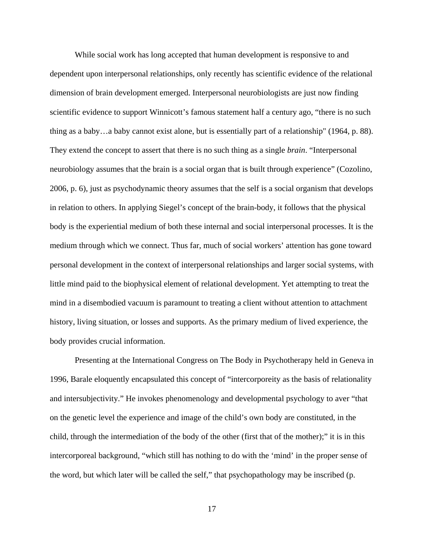While social work has long accepted that human development is responsive to and dependent upon interpersonal relationships, only recently has scientific evidence of the relational dimension of brain development emerged. Interpersonal neurobiologists are just now finding scientific evidence to support Winnicott's famous statement half a century ago, "there is no such thing as a baby…a baby cannot exist alone, but is essentially part of a relationship" (1964, p. 88). They extend the concept to assert that there is no such thing as a single *brain*. "Interpersonal neurobiology assumes that the brain is a social organ that is built through experience" (Cozolino, 2006, p. 6), just as psychodynamic theory assumes that the self is a social organism that develops in relation to others. In applying Siegel's concept of the brain-body, it follows that the physical body is the experiential medium of both these internal and social interpersonal processes. It is the medium through which we connect. Thus far, much of social workers' attention has gone toward personal development in the context of interpersonal relationships and larger social systems, with little mind paid to the biophysical element of relational development. Yet attempting to treat the mind in a disembodied vacuum is paramount to treating a client without attention to attachment history, living situation, or losses and supports. As the primary medium of lived experience, the body provides crucial information.

Presenting at the International Congress on The Body in Psychotherapy held in Geneva in 1996, Barale eloquently encapsulated this concept of "intercorporeity as the basis of relationality and intersubjectivity." He invokes phenomenology and developmental psychology to aver "that on the genetic level the experience and image of the child's own body are constituted, in the child, through the intermediation of the body of the other (first that of the mother);" it is in this intercorporeal background, "which still has nothing to do with the 'mind' in the proper sense of the word, but which later will be called the self," that psychopathology may be inscribed (p.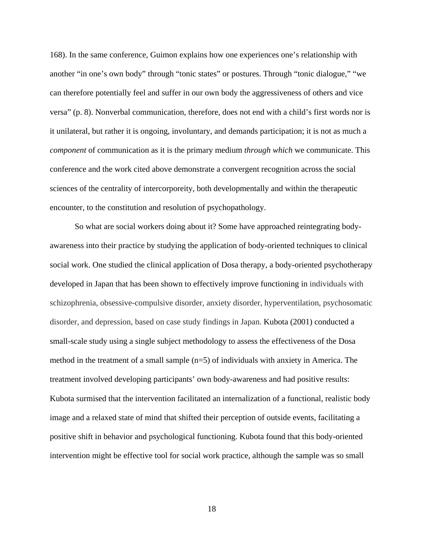168). In the same conference, Guimon explains how one experiences one's relationship with another "in one's own body" through "tonic states" or postures. Through "tonic dialogue," "we can therefore potentially feel and suffer in our own body the aggressiveness of others and vice versa" (p. 8). Nonverbal communication, therefore, does not end with a child's first words nor is it unilateral, but rather it is ongoing, involuntary, and demands participation; it is not as much a *component* of communication as it is the primary medium *through which* we communicate. This conference and the work cited above demonstrate a convergent recognition across the social sciences of the centrality of intercorporeity, both developmentally and within the therapeutic encounter, to the constitution and resolution of psychopathology.

 So what are social workers doing about it? Some have approached reintegrating bodyawareness into their practice by studying the application of body-oriented techniques to clinical social work. One studied the clinical application of Dosa therapy, a body-oriented psychotherapy developed in Japan that has been shown to effectively improve functioning in individuals with schizophrenia, obsessive-compulsive disorder, anxiety disorder, hyperventilation, psychosomatic disorder, and depression, based on case study findings in Japan. Kubota (2001) conducted a small-scale study using a single subject methodology to assess the effectiveness of the Dosa method in the treatment of a small sample (n=5) of individuals with anxiety in America. The treatment involved developing participants' own body-awareness and had positive results: Kubota surmised that the intervention facilitated an internalization of a functional, realistic body image and a relaxed state of mind that shifted their perception of outside events, facilitating a positive shift in behavior and psychological functioning. Kubota found that this body-oriented intervention might be effective tool for social work practice, although the sample was so small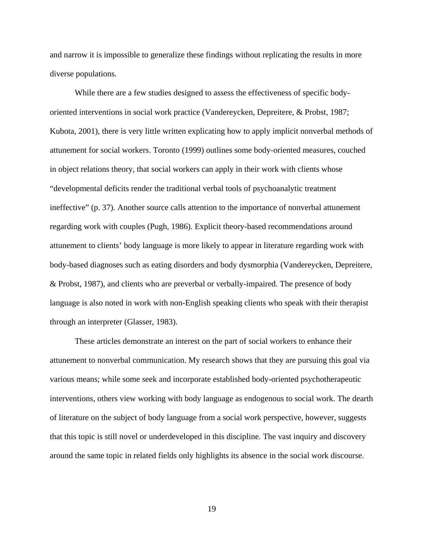and narrow it is impossible to generalize these findings without replicating the results in more diverse populations.

 While there are a few studies designed to assess the effectiveness of specific bodyoriented interventions in social work practice (Vandereycken, Depreitere, & Probst, 1987; Kubota, 2001), there is very little written explicating how to apply implicit nonverbal methods of attunement for social workers. Toronto (1999) outlines some body-oriented measures, couched in object relations theory, that social workers can apply in their work with clients whose "developmental deficits render the traditional verbal tools of psychoanalytic treatment ineffective" (p. 37). Another source calls attention to the importance of nonverbal attunement regarding work with couples (Pugh, 1986). Explicit theory-based recommendations around attunement to clients' body language is more likely to appear in literature regarding work with body-based diagnoses such as eating disorders and body dysmorphia (Vandereycken, Depreitere, & Probst, 1987), and clients who are preverbal or verbally-impaired. The presence of body language is also noted in work with non-English speaking clients who speak with their therapist through an interpreter (Glasser, 1983).

 These articles demonstrate an interest on the part of social workers to enhance their attunement to nonverbal communication. My research shows that they are pursuing this goal via various means; while some seek and incorporate established body-oriented psychotherapeutic interventions, others view working with body language as endogenous to social work. The dearth of literature on the subject of body language from a social work perspective, however, suggests that this topic is still novel or underdeveloped in this discipline. The vast inquiry and discovery around the same topic in related fields only highlights its absence in the social work discourse.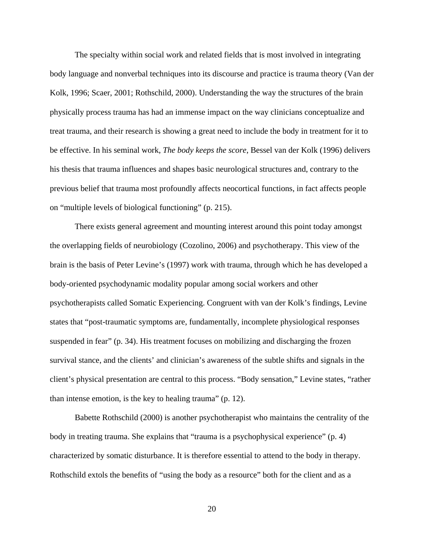The specialty within social work and related fields that is most involved in integrating body language and nonverbal techniques into its discourse and practice is trauma theory (Van der Kolk, 1996; Scaer, 2001; Rothschild, 2000). Understanding the way the structures of the brain physically process trauma has had an immense impact on the way clinicians conceptualize and treat trauma, and their research is showing a great need to include the body in treatment for it to be effective. In his seminal work, *The body keeps the score*, Bessel van der Kolk (1996) delivers his thesis that trauma influences and shapes basic neurological structures and, contrary to the previous belief that trauma most profoundly affects neocortical functions, in fact affects people on "multiple levels of biological functioning" (p. 215).

There exists general agreement and mounting interest around this point today amongst the overlapping fields of neurobiology (Cozolino, 2006) and psychotherapy. This view of the brain is the basis of Peter Levine's (1997) work with trauma, through which he has developed a body-oriented psychodynamic modality popular among social workers and other psychotherapists called Somatic Experiencing. Congruent with van der Kolk's findings, Levine states that "post-traumatic symptoms are, fundamentally, incomplete physiological responses suspended in fear" (p. 34). His treatment focuses on mobilizing and discharging the frozen survival stance, and the clients' and clinician's awareness of the subtle shifts and signals in the client's physical presentation are central to this process. "Body sensation," Levine states, "rather than intense emotion, is the key to healing trauma" (p. 12).

Babette Rothschild (2000) is another psychotherapist who maintains the centrality of the body in treating trauma. She explains that "trauma is a psychophysical experience" (p. 4) characterized by somatic disturbance. It is therefore essential to attend to the body in therapy. Rothschild extols the benefits of "using the body as a resource" both for the client and as a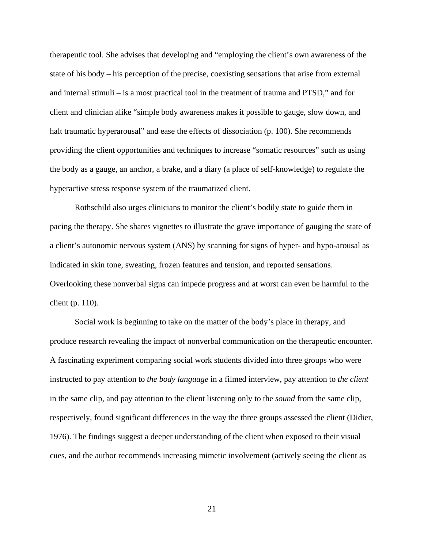therapeutic tool. She advises that developing and "employing the client's own awareness of the state of his body – his perception of the precise, coexisting sensations that arise from external and internal stimuli – is a most practical tool in the treatment of trauma and PTSD," and for client and clinician alike "simple body awareness makes it possible to gauge, slow down, and halt traumatic hyperarousal" and ease the effects of dissociation (p. 100). She recommends providing the client opportunities and techniques to increase "somatic resources" such as using the body as a gauge, an anchor, a brake, and a diary (a place of self-knowledge) to regulate the hyperactive stress response system of the traumatized client.

Rothschild also urges clinicians to monitor the client's bodily state to guide them in pacing the therapy. She shares vignettes to illustrate the grave importance of gauging the state of a client's autonomic nervous system (ANS) by scanning for signs of hyper- and hypo-arousal as indicated in skin tone, sweating, frozen features and tension, and reported sensations. Overlooking these nonverbal signs can impede progress and at worst can even be harmful to the client (p. 110).

Social work is beginning to take on the matter of the body's place in therapy, and produce research revealing the impact of nonverbal communication on the therapeutic encounter. A fascinating experiment comparing social work students divided into three groups who were instructed to pay attention to *the body language* in a filmed interview, pay attention to *the client* in the same clip, and pay attention to the client listening only to the *sound* from the same clip, respectively, found significant differences in the way the three groups assessed the client (Didier, 1976). The findings suggest a deeper understanding of the client when exposed to their visual cues, and the author recommends increasing mimetic involvement (actively seeing the client as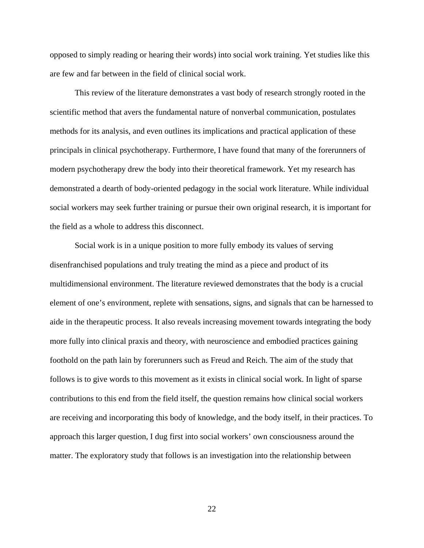opposed to simply reading or hearing their words) into social work training. Yet studies like this are few and far between in the field of clinical social work.

This review of the literature demonstrates a vast body of research strongly rooted in the scientific method that avers the fundamental nature of nonverbal communication, postulates methods for its analysis, and even outlines its implications and practical application of these principals in clinical psychotherapy. Furthermore, I have found that many of the forerunners of modern psychotherapy drew the body into their theoretical framework. Yet my research has demonstrated a dearth of body-oriented pedagogy in the social work literature. While individual social workers may seek further training or pursue their own original research, it is important for the field as a whole to address this disconnect.

Social work is in a unique position to more fully embody its values of serving disenfranchised populations and truly treating the mind as a piece and product of its multidimensional environment. The literature reviewed demonstrates that the body is a crucial element of one's environment, replete with sensations, signs, and signals that can be harnessed to aide in the therapeutic process. It also reveals increasing movement towards integrating the body more fully into clinical praxis and theory, with neuroscience and embodied practices gaining foothold on the path lain by forerunners such as Freud and Reich. The aim of the study that follows is to give words to this movement as it exists in clinical social work. In light of sparse contributions to this end from the field itself, the question remains how clinical social workers are receiving and incorporating this body of knowledge, and the body itself, in their practices. To approach this larger question, I dug first into social workers' own consciousness around the matter. The exploratory study that follows is an investigation into the relationship between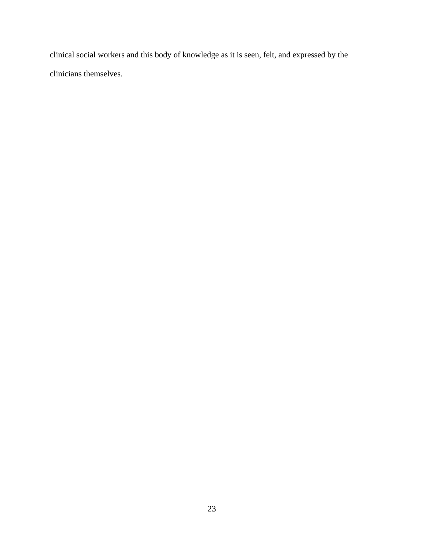clinical social workers and this body of knowledge as it is seen, felt, and expressed by the clinicians themselves.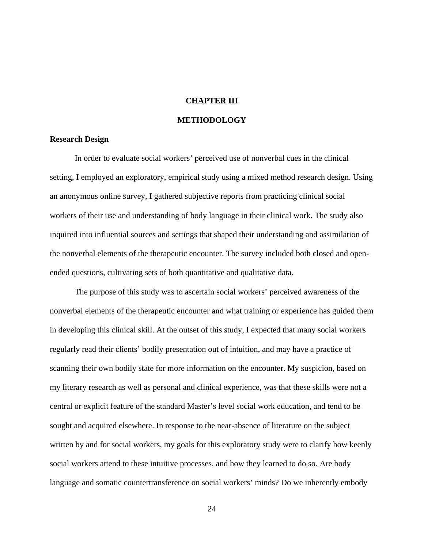#### **CHAPTER III**

#### **METHODOLOGY**

#### **Research Design**

In order to evaluate social workers' perceived use of nonverbal cues in the clinical setting, I employed an exploratory, empirical study using a mixed method research design. Using an anonymous online survey, I gathered subjective reports from practicing clinical social workers of their use and understanding of body language in their clinical work. The study also inquired into influential sources and settings that shaped their understanding and assimilation of the nonverbal elements of the therapeutic encounter. The survey included both closed and openended questions, cultivating sets of both quantitative and qualitative data.

The purpose of this study was to ascertain social workers' perceived awareness of the nonverbal elements of the therapeutic encounter and what training or experience has guided them in developing this clinical skill. At the outset of this study, I expected that many social workers regularly read their clients' bodily presentation out of intuition, and may have a practice of scanning their own bodily state for more information on the encounter. My suspicion, based on my literary research as well as personal and clinical experience, was that these skills were not a central or explicit feature of the standard Master's level social work education, and tend to be sought and acquired elsewhere. In response to the near-absence of literature on the subject written by and for social workers, my goals for this exploratory study were to clarify how keenly social workers attend to these intuitive processes, and how they learned to do so. Are body language and somatic countertransference on social workers' minds? Do we inherently embody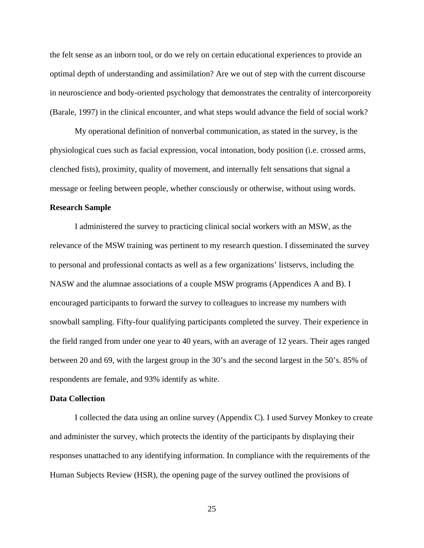the felt sense as an inborn tool, or do we rely on certain educational experiences to provide an optimal depth of understanding and assimilation? Are we out of step with the current discourse in neuroscience and body-oriented psychology that demonstrates the centrality of intercorporeity (Barale, 1997) in the clinical encounter, and what steps would advance the field of social work?

My operational definition of nonverbal communication, as stated in the survey, is the physiological cues such as facial expression, vocal intonation, body position (i.e. crossed arms, clenched fists), proximity, quality of movement, and internally felt sensations that signal a message or feeling between people, whether consciously or otherwise, without using words.

#### **Research Sample**

I administered the survey to practicing clinical social workers with an MSW, as the relevance of the MSW training was pertinent to my research question. I disseminated the survey to personal and professional contacts as well as a few organizations' listservs, including the NASW and the alumnae associations of a couple MSW programs (Appendices A and B). I encouraged participants to forward the survey to colleagues to increase my numbers with snowball sampling. Fifty-four qualifying participants completed the survey. Their experience in the field ranged from under one year to 40 years, with an average of 12 years. Their ages ranged between 20 and 69, with the largest group in the 30's and the second largest in the 50's. 85% of respondents are female, and 93% identify as white.

#### **Data Collection**

I collected the data using an online survey (Appendix C). I used Survey Monkey to create and administer the survey, which protects the identity of the participants by displaying their responses unattached to any identifying information. In compliance with the requirements of the Human Subjects Review (HSR), the opening page of the survey outlined the provisions of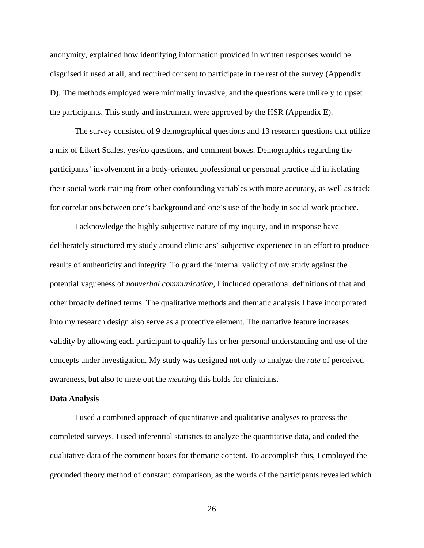anonymity, explained how identifying information provided in written responses would be disguised if used at all, and required consent to participate in the rest of the survey (Appendix D). The methods employed were minimally invasive, and the questions were unlikely to upset the participants. This study and instrument were approved by the HSR (Appendix E).

The survey consisted of 9 demographical questions and 13 research questions that utilize a mix of Likert Scales, yes/no questions, and comment boxes. Demographics regarding the participants' involvement in a body-oriented professional or personal practice aid in isolating their social work training from other confounding variables with more accuracy, as well as track for correlations between one's background and one's use of the body in social work practice.

I acknowledge the highly subjective nature of my inquiry, and in response have deliberately structured my study around clinicians' subjective experience in an effort to produce results of authenticity and integrity. To guard the internal validity of my study against the potential vagueness of *nonverbal communication,* I included operational definitions of that and other broadly defined terms. The qualitative methods and thematic analysis I have incorporated into my research design also serve as a protective element. The narrative feature increases validity by allowing each participant to qualify his or her personal understanding and use of the concepts under investigation. My study was designed not only to analyze the *rate* of perceived awareness, but also to mete out the *meaning* this holds for clinicians.

#### **Data Analysis**

I used a combined approach of quantitative and qualitative analyses to process the completed surveys. I used inferential statistics to analyze the quantitative data, and coded the qualitative data of the comment boxes for thematic content. To accomplish this, I employed the grounded theory method of constant comparison, as the words of the participants revealed which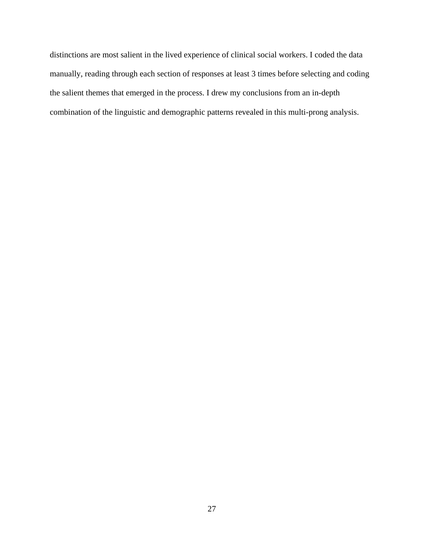distinctions are most salient in the lived experience of clinical social workers. I coded the data manually, reading through each section of responses at least 3 times before selecting and coding the salient themes that emerged in the process. I drew my conclusions from an in-depth combination of the linguistic and demographic patterns revealed in this multi-prong analysis.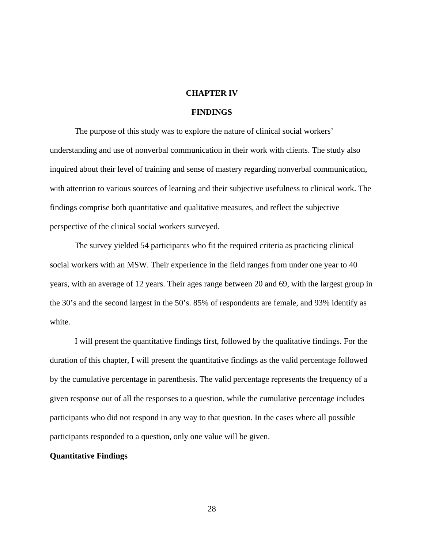#### **CHAPTER IV**

#### **FINDINGS**

The purpose of this study was to explore the nature of clinical social workers' understanding and use of nonverbal communication in their work with clients. The study also inquired about their level of training and sense of mastery regarding nonverbal communication, with attention to various sources of learning and their subjective usefulness to clinical work. The findings comprise both quantitative and qualitative measures, and reflect the subjective perspective of the clinical social workers surveyed.

The survey yielded 54 participants who fit the required criteria as practicing clinical social workers with an MSW. Their experience in the field ranges from under one year to 40 years, with an average of 12 years. Their ages range between 20 and 69, with the largest group in the 30's and the second largest in the 50's. 85% of respondents are female, and 93% identify as white.

I will present the quantitative findings first, followed by the qualitative findings. For the duration of this chapter, I will present the quantitative findings as the valid percentage followed by the cumulative percentage in parenthesis. The valid percentage represents the frequency of a given response out of all the responses to a question, while the cumulative percentage includes participants who did not respond in any way to that question. In the cases where all possible participants responded to a question, only one value will be given.

#### **Quantitative Findings**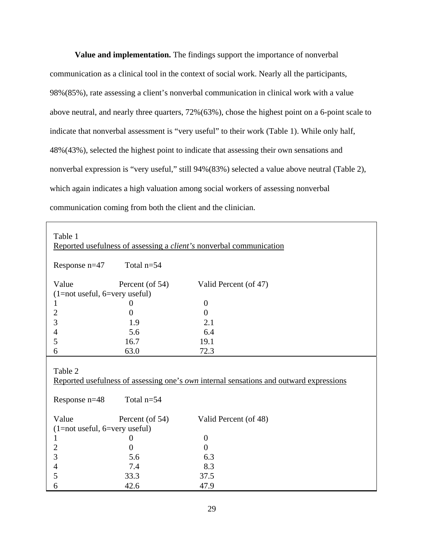**Value and implementation.** The findings support the importance of nonverbal communication as a clinical tool in the context of social work. Nearly all the participants, 98%(85%), rate assessing a client's nonverbal communication in clinical work with a value above neutral, and nearly three quarters, 72%(63%), chose the highest point on a 6-point scale to indicate that nonverbal assessment is "very useful" to their work (Table 1). While only half, 48%(43%), selected the highest point to indicate that assessing their own sensations and nonverbal expression is "very useful," still 94%(83%) selected a value above neutral (Table 2), which again indicates a high valuation among social workers of assessing nonverbal communication coming from both the client and the clinician.

| Table 1                                                                                                  |                       | Reported usefulness of assessing a <i>client's</i> nonverbal communication |  |  |  |
|----------------------------------------------------------------------------------------------------------|-----------------------|----------------------------------------------------------------------------|--|--|--|
| Response $n=47$                                                                                          | Total $n=54$          |                                                                            |  |  |  |
| Value                                                                                                    | Percent (of 54)       | Valid Percent (of 47)                                                      |  |  |  |
| $(1 = not useful, 6 = very useful)$                                                                      |                       |                                                                            |  |  |  |
| 1                                                                                                        | 0                     | $\boldsymbol{0}$                                                           |  |  |  |
| $\overline{2}$                                                                                           | $\overline{0}$        | $\overline{0}$                                                             |  |  |  |
| 3                                                                                                        | 1.9                   | 2.1                                                                        |  |  |  |
| $\overline{4}$                                                                                           | 5.6                   | 6.4                                                                        |  |  |  |
| 5                                                                                                        | 16.7                  | 19.1                                                                       |  |  |  |
| 6                                                                                                        | 63.0                  | 72.3                                                                       |  |  |  |
| Table 2<br>Reported usefulness of assessing one's <i>own</i> internal sensations and outward expressions |                       |                                                                            |  |  |  |
|                                                                                                          |                       |                                                                            |  |  |  |
| Response n=48                                                                                            | Total $n=54$          |                                                                            |  |  |  |
|                                                                                                          |                       |                                                                            |  |  |  |
| Value                                                                                                    | Percent (of 54)       | Valid Percent (of 48)                                                      |  |  |  |
| $(1 = not useful, 6 = very useful)$<br>1                                                                 |                       |                                                                            |  |  |  |
|                                                                                                          | $\theta$              | $\boldsymbol{0}$                                                           |  |  |  |
| $\overline{2}$                                                                                           | $\overline{0}$<br>5.6 | $\overline{0}$                                                             |  |  |  |
| 3                                                                                                        | 7.4                   | 6.3<br>8.3                                                                 |  |  |  |
| $\overline{4}$<br>5                                                                                      | 33.3                  | 37.5                                                                       |  |  |  |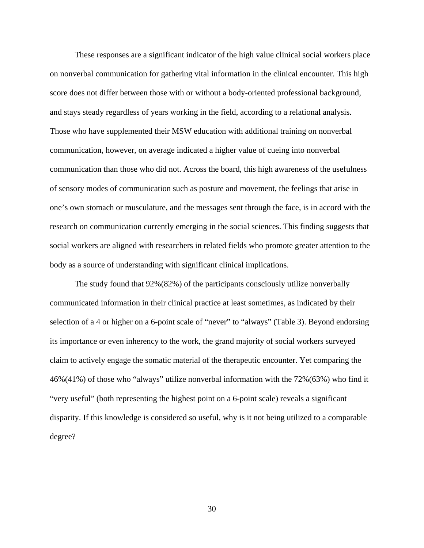These responses are a significant indicator of the high value clinical social workers place on nonverbal communication for gathering vital information in the clinical encounter. This high score does not differ between those with or without a body-oriented professional background, and stays steady regardless of years working in the field, according to a relational analysis. Those who have supplemented their MSW education with additional training on nonverbal communication, however, on average indicated a higher value of cueing into nonverbal communication than those who did not. Across the board, this high awareness of the usefulness of sensory modes of communication such as posture and movement, the feelings that arise in one's own stomach or musculature, and the messages sent through the face, is in accord with the research on communication currently emerging in the social sciences. This finding suggests that social workers are aligned with researchers in related fields who promote greater attention to the body as a source of understanding with significant clinical implications.

The study found that 92%(82%) of the participants consciously utilize nonverbally communicated information in their clinical practice at least sometimes, as indicated by their selection of a 4 or higher on a 6-point scale of "never" to "always" (Table 3). Beyond endorsing its importance or even inherency to the work, the grand majority of social workers surveyed claim to actively engage the somatic material of the therapeutic encounter. Yet comparing the 46%(41%) of those who "always" utilize nonverbal information with the 72%(63%) who find it "very useful" (both representing the highest point on a 6-point scale) reveals a significant disparity. If this knowledge is considered so useful, why is it not being utilized to a comparable degree?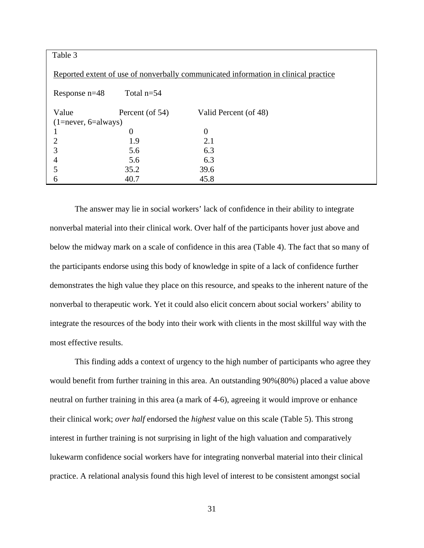| Table 3                   |                 |                                                                                     |  |  |
|---------------------------|-----------------|-------------------------------------------------------------------------------------|--|--|
|                           |                 | Reported extent of use of nonverbally communicated information in clinical practice |  |  |
| Response $n=48$           | Total $n=54$    |                                                                                     |  |  |
| Value                     | Percent (of 54) | Valid Percent (of 48)                                                               |  |  |
| $(1 = never, 6 = always)$ |                 |                                                                                     |  |  |
|                           | $\theta$        | $\Omega$                                                                            |  |  |
| 2                         | 1.9             | 2.1                                                                                 |  |  |
|                           | 5.6             | 6.3                                                                                 |  |  |
| 4                         | 5.6             | 6.3                                                                                 |  |  |
|                           | 35.2            | 39.6                                                                                |  |  |
| h                         | 40.7            | 45.8                                                                                |  |  |

The answer may lie in social workers' lack of confidence in their ability to integrate nonverbal material into their clinical work. Over half of the participants hover just above and below the midway mark on a scale of confidence in this area (Table 4). The fact that so many of the participants endorse using this body of knowledge in spite of a lack of confidence further demonstrates the high value they place on this resource, and speaks to the inherent nature of the nonverbal to therapeutic work. Yet it could also elicit concern about social workers' ability to integrate the resources of the body into their work with clients in the most skillful way with the most effective results.

This finding adds a context of urgency to the high number of participants who agree they would benefit from further training in this area. An outstanding 90%(80%) placed a value above neutral on further training in this area (a mark of 4-6), agreeing it would improve or enhance their clinical work; *over half* endorsed the *highest* value on this scale (Table 5). This strong interest in further training is not surprising in light of the high valuation and comparatively lukewarm confidence social workers have for integrating nonverbal material into their clinical practice. A relational analysis found this high level of interest to be consistent amongst social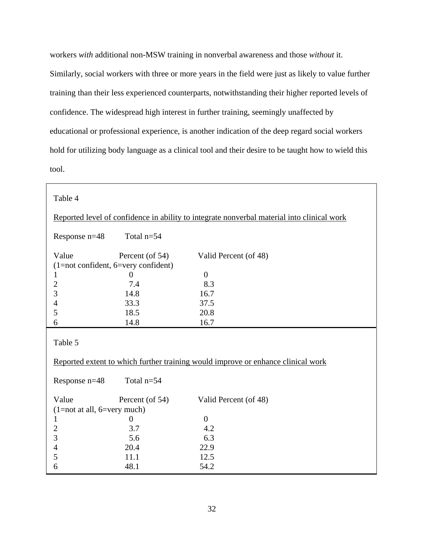workers *with* additional non-MSW training in nonverbal awareness and those *without* it. Similarly, social workers with three or more years in the field were just as likely to value further training than their less experienced counterparts, notwithstanding their higher reported levels of confidence. The widespread high interest in further training, seemingly unaffected by educational or professional experience, is another indication of the deep regard social workers hold for utilizing body language as a clinical tool and their desire to be taught how to wield this tool.

| Table 4                               |                 |                                                                                            |
|---------------------------------------|-----------------|--------------------------------------------------------------------------------------------|
|                                       |                 | Reported level of confidence in ability to integrate nonverbal material into clinical work |
| Response n=48                         | Total $n=54$    |                                                                                            |
| Value                                 | Percent (of 54) | Valid Percent (of 48)                                                                      |
| $(1=not$ confident, 6=very confident) |                 |                                                                                            |
| 1                                     | $\theta$        | $\overline{0}$                                                                             |
| $\overline{2}$                        | 7.4             | 8.3                                                                                        |
| 3                                     | 14.8            | 16.7                                                                                       |
| $\overline{4}$                        | 33.3            | 37.5                                                                                       |
| 5                                     | 18.5            | 20.8                                                                                       |
| 6                                     | 14.8            | 16.7                                                                                       |
| Table 5                               |                 |                                                                                            |
|                                       |                 | Reported extent to which further training would improve or enhance clinical work           |
| Response n=48                         | Total $n=54$    |                                                                                            |
| Value                                 | Percent (of 54) | Valid Percent (of 48)                                                                      |
| $(1=not at all, 6=very much)$         |                 |                                                                                            |
| $\mathbf{1}$                          | $\overline{0}$  | $\overline{0}$                                                                             |
| $\overline{c}$                        | 3.7             | 4.2                                                                                        |
| 3                                     | 5.6             | 6.3                                                                                        |
| $\overline{\mathcal{L}}$              | 20.4            | 22.9                                                                                       |
| 5                                     | 11.1            | 12.5                                                                                       |
| 6                                     | 48.1            | 54.2                                                                                       |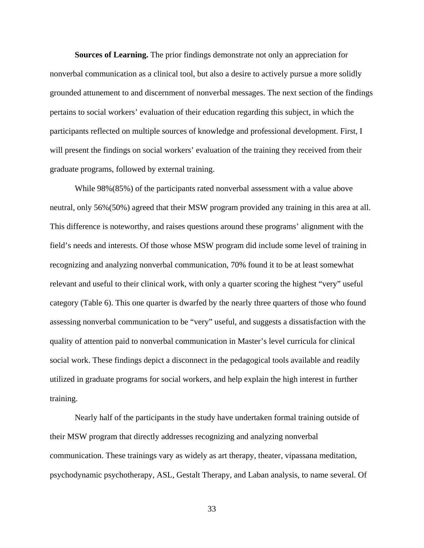**Sources of Learning.** The prior findings demonstrate not only an appreciation for nonverbal communication as a clinical tool, but also a desire to actively pursue a more solidly grounded attunement to and discernment of nonverbal messages. The next section of the findings pertains to social workers' evaluation of their education regarding this subject, in which the participants reflected on multiple sources of knowledge and professional development. First, I will present the findings on social workers' evaluation of the training they received from their graduate programs, followed by external training.

While 98%(85%) of the participants rated nonverbal assessment with a value above neutral, only 56%(50%) agreed that their MSW program provided any training in this area at all. This difference is noteworthy, and raises questions around these programs' alignment with the field's needs and interests. Of those whose MSW program did include some level of training in recognizing and analyzing nonverbal communication, 70% found it to be at least somewhat relevant and useful to their clinical work, with only a quarter scoring the highest "very" useful category (Table 6). This one quarter is dwarfed by the nearly three quarters of those who found assessing nonverbal communication to be "very" useful, and suggests a dissatisfaction with the quality of attention paid to nonverbal communication in Master's level curricula for clinical social work. These findings depict a disconnect in the pedagogical tools available and readily utilized in graduate programs for social workers, and help explain the high interest in further training.

Nearly half of the participants in the study have undertaken formal training outside of their MSW program that directly addresses recognizing and analyzing nonverbal communication. These trainings vary as widely as art therapy, theater, vipassana meditation, psychodynamic psychotherapy, ASL, Gestalt Therapy, and Laban analysis, to name several. Of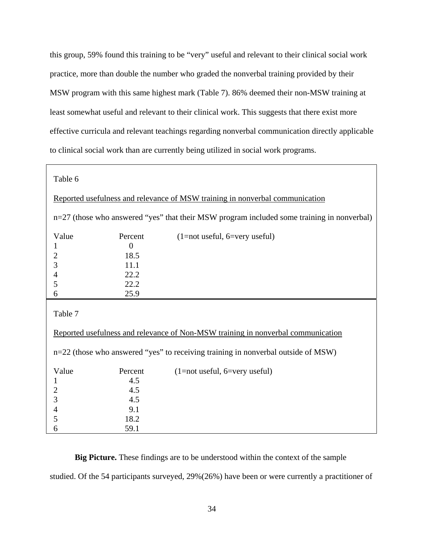this group, 59% found this training to be "very" useful and relevant to their clinical social work practice, more than double the number who graded the nonverbal training provided by their MSW program with this same highest mark (Table 7). 86% deemed their non-MSW training at least somewhat useful and relevant to their clinical work. This suggests that there exist more effective curricula and relevant teachings regarding nonverbal communication directly applicable to clinical social work than are currently being utilized in social work programs.

| Table 6                                                                                    |            |                                                                                   |  |  |  |
|--------------------------------------------------------------------------------------------|------------|-----------------------------------------------------------------------------------|--|--|--|
| Reported usefulness and relevance of MSW training in nonverbal communication               |            |                                                                                   |  |  |  |
| n=27 (those who answered "yes" that their MSW program included some training in nonverbal) |            |                                                                                   |  |  |  |
| Value                                                                                      | Percent    | $(1=not$ useful, 6=very useful)                                                   |  |  |  |
| $\mathbf{1}$                                                                               | $\theta$   |                                                                                   |  |  |  |
| $\overline{c}$                                                                             | 18.5       |                                                                                   |  |  |  |
| 3                                                                                          | 11.1       |                                                                                   |  |  |  |
| $\overline{\mathcal{L}}$                                                                   | 22.2       |                                                                                   |  |  |  |
| 5                                                                                          | 22.2       |                                                                                   |  |  |  |
| 6                                                                                          | 25.9       |                                                                                   |  |  |  |
| Table 7                                                                                    |            |                                                                                   |  |  |  |
| Reported usefulness and relevance of Non-MSW training in nonverbal communication           |            |                                                                                   |  |  |  |
|                                                                                            |            |                                                                                   |  |  |  |
|                                                                                            |            | n=22 (those who answered "yes" to receiving training in nonverbal outside of MSW) |  |  |  |
|                                                                                            |            |                                                                                   |  |  |  |
| Value                                                                                      | Percent    | $(1=not useful, 6=very useful)$                                                   |  |  |  |
| $\mathbf{1}$                                                                               | 4.5        |                                                                                   |  |  |  |
| $\overline{c}$                                                                             | 4.5        |                                                                                   |  |  |  |
| 3                                                                                          | 4.5<br>9.1 |                                                                                   |  |  |  |
| $\overline{4}$<br>5                                                                        | 18.2       |                                                                                   |  |  |  |

**Big Picture.** These findings are to be understood within the context of the sample studied. Of the 54 participants surveyed, 29%(26%) have been or were currently a practitioner of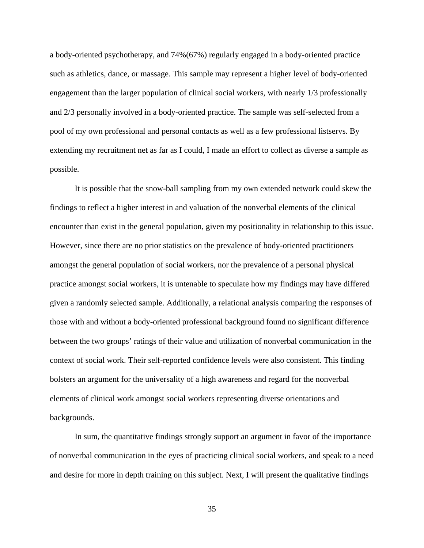a body-oriented psychotherapy, and 74%(67%) regularly engaged in a body-oriented practice such as athletics, dance, or massage. This sample may represent a higher level of body-oriented engagement than the larger population of clinical social workers, with nearly 1/3 professionally and 2/3 personally involved in a body-oriented practice. The sample was self-selected from a pool of my own professional and personal contacts as well as a few professional listservs. By extending my recruitment net as far as I could, I made an effort to collect as diverse a sample as possible.

It is possible that the snow-ball sampling from my own extended network could skew the findings to reflect a higher interest in and valuation of the nonverbal elements of the clinical encounter than exist in the general population, given my positionality in relationship to this issue. However, since there are no prior statistics on the prevalence of body-oriented practitioners amongst the general population of social workers, nor the prevalence of a personal physical practice amongst social workers, it is untenable to speculate how my findings may have differed given a randomly selected sample. Additionally, a relational analysis comparing the responses of those with and without a body-oriented professional background found no significant difference between the two groups' ratings of their value and utilization of nonverbal communication in the context of social work. Their self-reported confidence levels were also consistent. This finding bolsters an argument for the universality of a high awareness and regard for the nonverbal elements of clinical work amongst social workers representing diverse orientations and backgrounds.

In sum, the quantitative findings strongly support an argument in favor of the importance of nonverbal communication in the eyes of practicing clinical social workers, and speak to a need and desire for more in depth training on this subject. Next, I will present the qualitative findings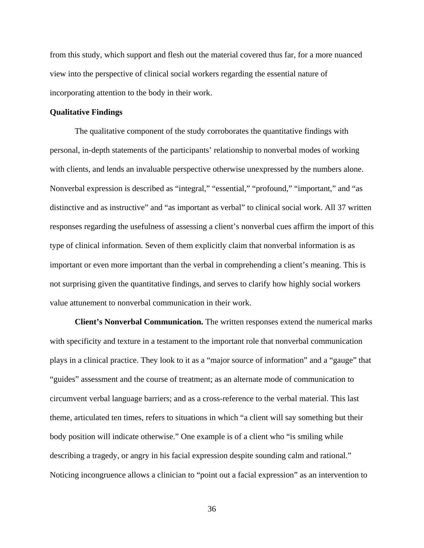from this study, which support and flesh out the material covered thus far, for a more nuanced view into the perspective of clinical social workers regarding the essential nature of incorporating attention to the body in their work.

## **Qualitative Findings**

The qualitative component of the study corroborates the quantitative findings with personal, in-depth statements of the participants' relationship to nonverbal modes of working with clients, and lends an invaluable perspective otherwise unexpressed by the numbers alone. Nonverbal expression is described as "integral," "essential," "profound," "important," and "as distinctive and as instructive" and "as important as verbal" to clinical social work. All 37 written responses regarding the usefulness of assessing a client's nonverbal cues affirm the import of this type of clinical information. Seven of them explicitly claim that nonverbal information is as important or even more important than the verbal in comprehending a client's meaning. This is not surprising given the quantitative findings, and serves to clarify how highly social workers value attunement to nonverbal communication in their work.

**Client's Nonverbal Communication.** The written responses extend the numerical marks with specificity and texture in a testament to the important role that nonverbal communication plays in a clinical practice. They look to it as a "major source of information" and a "gauge" that "guides" assessment and the course of treatment; as an alternate mode of communication to circumvent verbal language barriers; and as a cross-reference to the verbal material. This last theme, articulated ten times, refers to situations in which "a client will say something but their body position will indicate otherwise." One example is of a client who "is smiling while describing a tragedy, or angry in his facial expression despite sounding calm and rational." Noticing incongruence allows a clinician to "point out a facial expression" as an intervention to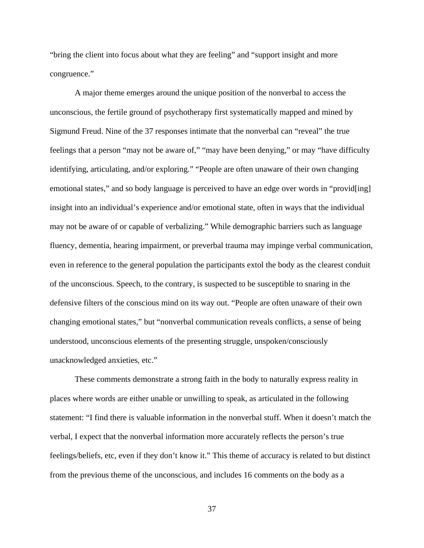"bring the client into focus about what they are feeling" and "support insight and more congruence."

A major theme emerges around the unique position of the nonverbal to access the unconscious, the fertile ground of psychotherapy first systematically mapped and mined by Sigmund Freud. Nine of the 37 responses intimate that the nonverbal can "reveal" the true feelings that a person "may not be aware of," "may have been denying," or may "have difficulty identifying, articulating, and/or exploring." "People are often unaware of their own changing emotional states," and so body language is perceived to have an edge over words in "provid[ing] insight into an individual's experience and/or emotional state, often in ways that the individual may not be aware of or capable of verbalizing." While demographic barriers such as language fluency, dementia, hearing impairment, or preverbal trauma may impinge verbal communication, even in reference to the general population the participants extol the body as the clearest conduit of the unconscious. Speech, to the contrary, is suspected to be susceptible to snaring in the defensive filters of the conscious mind on its way out. "People are often unaware of their own changing emotional states," but "nonverbal communication reveals conflicts, a sense of being understood, unconscious elements of the presenting struggle, unspoken/consciously unacknowledged anxieties, etc."

These comments demonstrate a strong faith in the body to naturally express reality in places where words are either unable or unwilling to speak, as articulated in the following statement: "I find there is valuable information in the nonverbal stuff. When it doesn't match the verbal, I expect that the nonverbal information more accurately reflects the person's true feelings/beliefs, etc, even if they don't know it." This theme of accuracy is related to but distinct from the previous theme of the unconscious, and includes 16 comments on the body as a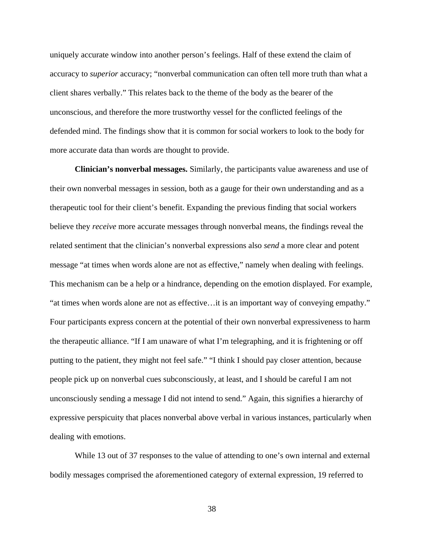uniquely accurate window into another person's feelings. Half of these extend the claim of accuracy to *superior* accuracy; "nonverbal communication can often tell more truth than what a client shares verbally." This relates back to the theme of the body as the bearer of the unconscious, and therefore the more trustworthy vessel for the conflicted feelings of the defended mind. The findings show that it is common for social workers to look to the body for more accurate data than words are thought to provide.

**Clinician's nonverbal messages.** Similarly, the participants value awareness and use of their own nonverbal messages in session, both as a gauge for their own understanding and as a therapeutic tool for their client's benefit. Expanding the previous finding that social workers believe they *receive* more accurate messages through nonverbal means, the findings reveal the related sentiment that the clinician's nonverbal expressions also *send* a more clear and potent message "at times when words alone are not as effective," namely when dealing with feelings. This mechanism can be a help or a hindrance, depending on the emotion displayed. For example, "at times when words alone are not as effective…it is an important way of conveying empathy." Four participants express concern at the potential of their own nonverbal expressiveness to harm the therapeutic alliance. "If I am unaware of what I'm telegraphing, and it is frightening or off putting to the patient, they might not feel safe." "I think I should pay closer attention, because people pick up on nonverbal cues subconsciously, at least, and I should be careful I am not unconsciously sending a message I did not intend to send." Again, this signifies a hierarchy of expressive perspicuity that places nonverbal above verbal in various instances, particularly when dealing with emotions.

While 13 out of 37 responses to the value of attending to one's own internal and external bodily messages comprised the aforementioned category of external expression, 19 referred to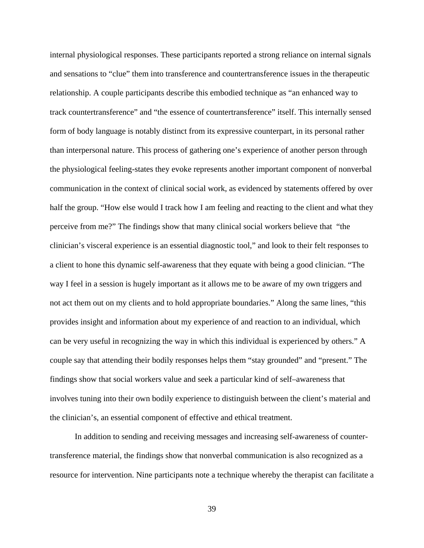internal physiological responses. These participants reported a strong reliance on internal signals and sensations to "clue" them into transference and countertransference issues in the therapeutic relationship. A couple participants describe this embodied technique as "an enhanced way to track countertransference" and "the essence of countertransference" itself. This internally sensed form of body language is notably distinct from its expressive counterpart, in its personal rather than interpersonal nature. This process of gathering one's experience of another person through the physiological feeling-states they evoke represents another important component of nonverbal communication in the context of clinical social work, as evidenced by statements offered by over half the group. "How else would I track how I am feeling and reacting to the client and what they perceive from me?" The findings show that many clinical social workers believe that "the clinician's visceral experience is an essential diagnostic tool," and look to their felt responses to a client to hone this dynamic self-awareness that they equate with being a good clinician. "The way I feel in a session is hugely important as it allows me to be aware of my own triggers and not act them out on my clients and to hold appropriate boundaries." Along the same lines, "this provides insight and information about my experience of and reaction to an individual, which can be very useful in recognizing the way in which this individual is experienced by others." A couple say that attending their bodily responses helps them "stay grounded" and "present." The findings show that social workers value and seek a particular kind of self–awareness that involves tuning into their own bodily experience to distinguish between the client's material and the clinician's, an essential component of effective and ethical treatment.

In addition to sending and receiving messages and increasing self-awareness of countertransference material, the findings show that nonverbal communication is also recognized as a resource for intervention. Nine participants note a technique whereby the therapist can facilitate a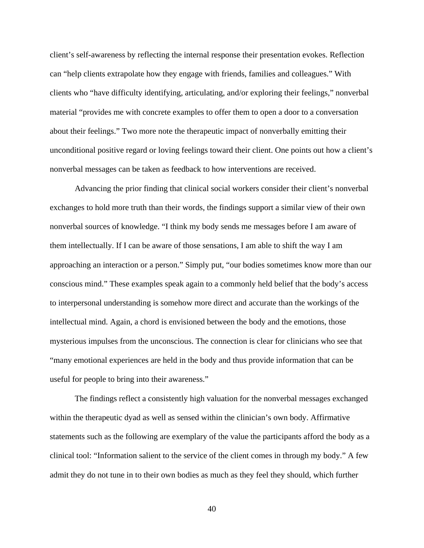client's self-awareness by reflecting the internal response their presentation evokes. Reflection can "help clients extrapolate how they engage with friends, families and colleagues." With clients who "have difficulty identifying, articulating, and/or exploring their feelings," nonverbal material "provides me with concrete examples to offer them to open a door to a conversation about their feelings." Two more note the therapeutic impact of nonverbally emitting their unconditional positive regard or loving feelings toward their client. One points out how a client's nonverbal messages can be taken as feedback to how interventions are received.

Advancing the prior finding that clinical social workers consider their client's nonverbal exchanges to hold more truth than their words, the findings support a similar view of their own nonverbal sources of knowledge. "I think my body sends me messages before I am aware of them intellectually. If I can be aware of those sensations, I am able to shift the way I am approaching an interaction or a person." Simply put, "our bodies sometimes know more than our conscious mind." These examples speak again to a commonly held belief that the body's access to interpersonal understanding is somehow more direct and accurate than the workings of the intellectual mind. Again, a chord is envisioned between the body and the emotions, those mysterious impulses from the unconscious. The connection is clear for clinicians who see that "many emotional experiences are held in the body and thus provide information that can be useful for people to bring into their awareness."

The findings reflect a consistently high valuation for the nonverbal messages exchanged within the therapeutic dyad as well as sensed within the clinician's own body. Affirmative statements such as the following are exemplary of the value the participants afford the body as a clinical tool: "Information salient to the service of the client comes in through my body." A few admit they do not tune in to their own bodies as much as they feel they should, which further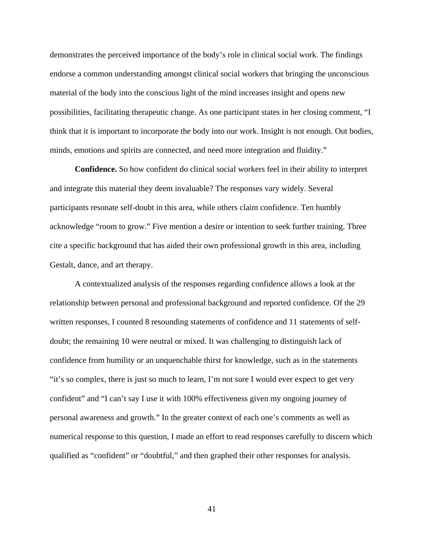demonstrates the perceived importance of the body's role in clinical social work. The findings endorse a common understanding amongst clinical social workers that bringing the unconscious material of the body into the conscious light of the mind increases insight and opens new possibilities, facilitating therapeutic change. As one participant states in her closing comment, "I think that it is important to incorporate the body into our work. Insight is not enough. Out bodies, minds, emotions and spirits are connected, and need more integration and fluidity."

**Confidence.** So how confident do clinical social workers feel in their ability to interpret and integrate this material they deem invaluable? The responses vary widely. Several participants resonate self-doubt in this area, while others claim confidence. Ten humbly acknowledge "room to grow." Five mention a desire or intention to seek further training. Three cite a specific background that has aided their own professional growth in this area, including Gestalt, dance, and art therapy.

A contextualized analysis of the responses regarding confidence allows a look at the relationship between personal and professional background and reported confidence. Of the 29 written responses, I counted 8 resounding statements of confidence and 11 statements of selfdoubt; the remaining 10 were neutral or mixed. It was challenging to distinguish lack of confidence from humility or an unquenchable thirst for knowledge, such as in the statements "it's so complex, there is just so much to learn, I'm not sure I would ever expect to get very confident" and "I can't say I use it with 100% effectiveness given my ongoing journey of personal awareness and growth." In the greater context of each one's comments as well as numerical response to this question, I made an effort to read responses carefully to discern which qualified as "confident" or "doubtful," and then graphed their other responses for analysis.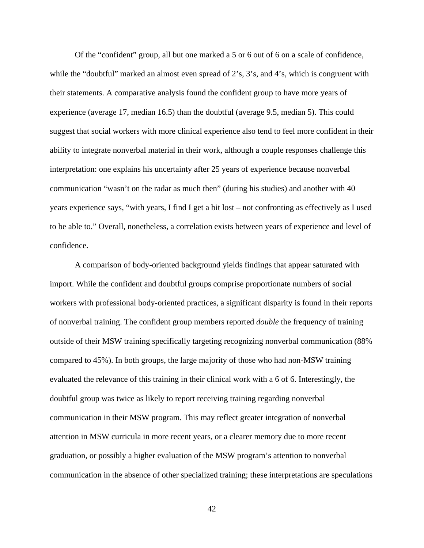Of the "confident" group, all but one marked a 5 or 6 out of 6 on a scale of confidence, while the "doubtful" marked an almost even spread of 2's, 3's, and 4's, which is congruent with their statements. A comparative analysis found the confident group to have more years of experience (average 17, median 16.5) than the doubtful (average 9.5, median 5). This could suggest that social workers with more clinical experience also tend to feel more confident in their ability to integrate nonverbal material in their work, although a couple responses challenge this interpretation: one explains his uncertainty after 25 years of experience because nonverbal communication "wasn't on the radar as much then" (during his studies) and another with 40 years experience says, "with years, I find I get a bit lost – not confronting as effectively as I used to be able to." Overall, nonetheless, a correlation exists between years of experience and level of confidence.

A comparison of body-oriented background yields findings that appear saturated with import. While the confident and doubtful groups comprise proportionate numbers of social workers with professional body-oriented practices, a significant disparity is found in their reports of nonverbal training. The confident group members reported *double* the frequency of training outside of their MSW training specifically targeting recognizing nonverbal communication (88% compared to 45%). In both groups, the large majority of those who had non-MSW training evaluated the relevance of this training in their clinical work with a 6 of 6. Interestingly, the doubtful group was twice as likely to report receiving training regarding nonverbal communication in their MSW program. This may reflect greater integration of nonverbal attention in MSW curricula in more recent years, or a clearer memory due to more recent graduation, or possibly a higher evaluation of the MSW program's attention to nonverbal communication in the absence of other specialized training; these interpretations are speculations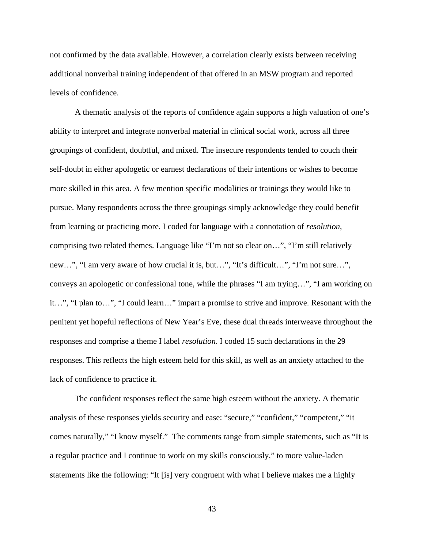not confirmed by the data available. However, a correlation clearly exists between receiving additional nonverbal training independent of that offered in an MSW program and reported levels of confidence.

A thematic analysis of the reports of confidence again supports a high valuation of one's ability to interpret and integrate nonverbal material in clinical social work, across all three groupings of confident, doubtful, and mixed. The insecure respondents tended to couch their self-doubt in either apologetic or earnest declarations of their intentions or wishes to become more skilled in this area. A few mention specific modalities or trainings they would like to pursue. Many respondents across the three groupings simply acknowledge they could benefit from learning or practicing more. I coded for language with a connotation of *resolution*, comprising two related themes. Language like "I'm not so clear on…", "I'm still relatively new…", "I am very aware of how crucial it is, but…", "It's difficult…", "I'm not sure…", conveys an apologetic or confessional tone, while the phrases "I am trying…", "I am working on it…", "I plan to…", "I could learn…" impart a promise to strive and improve. Resonant with the penitent yet hopeful reflections of New Year's Eve, these dual threads interweave throughout the responses and comprise a theme I label *resolution*. I coded 15 such declarations in the 29 responses. This reflects the high esteem held for this skill, as well as an anxiety attached to the lack of confidence to practice it.

The confident responses reflect the same high esteem without the anxiety. A thematic analysis of these responses yields security and ease: "secure," "confident," "competent," "it comes naturally," "I know myself." The comments range from simple statements, such as "It is a regular practice and I continue to work on my skills consciously," to more value-laden statements like the following: "It [is] very congruent with what I believe makes me a highly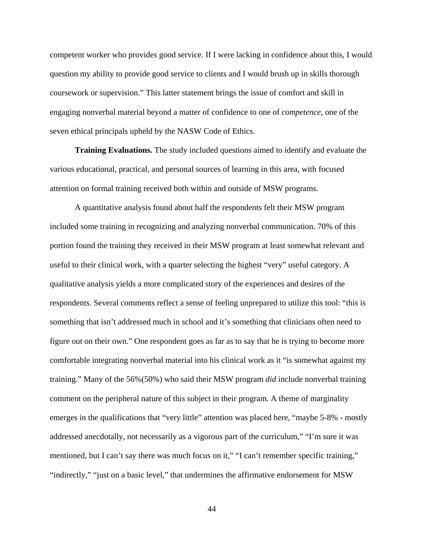competent worker who provides good service. If I were lacking in confidence about this, I would question my ability to provide good service to clients and I would brush up in skills thorough coursework or supervision." This latter statement brings the issue of comfort and skill in engaging nonverbal material beyond a matter of confidence to one of *competence*, one of the seven ethical principals upheld by the NASW Code of Ethics.

**Training Evaluations.** The study included questions aimed to identify and evaluate the various educational, practical, and personal sources of learning in this area, with focused attention on formal training received both within and outside of MSW programs.

A quantitative analysis found about half the respondents felt their MSW program included some training in recognizing and analyzing nonverbal communication. 70% of this portion found the training they received in their MSW program at least somewhat relevant and useful to their clinical work, with a quarter selecting the highest "very" useful category. A qualitative analysis yields a more complicated story of the experiences and desires of the respondents. Several comments reflect a sense of feeling unprepared to utilize this tool: "this is something that isn't addressed much in school and it's something that clinicians often need to figure out on their own." One respondent goes as far as to say that he is trying to become more comfortable integrating nonverbal material into his clinical work as it "is somewhat against my training." Many of the 56%(50%) who said their MSW program *did* include nonverbal training comment on the peripheral nature of this subject in their program. A theme of marginality emerges in the qualifications that "very little" attention was placed here, "maybe 5-8% - mostly addressed anecdotally, not necessarily as a vigorous part of the curriculum," "I'm sure it was mentioned, but I can't say there was much focus on it," "I can't remember specific training," "indirectly," "just on a basic level," that undermines the affirmative endorsement for MSW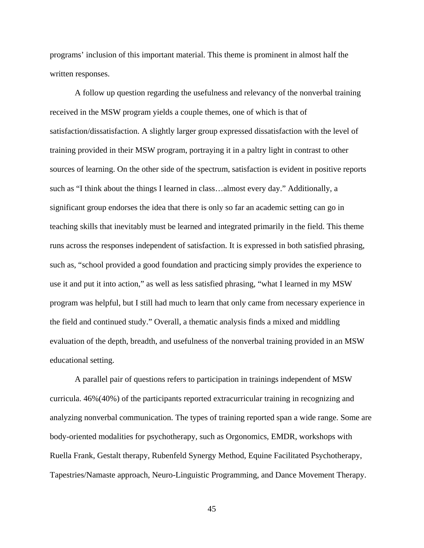programs' inclusion of this important material. This theme is prominent in almost half the written responses.

A follow up question regarding the usefulness and relevancy of the nonverbal training received in the MSW program yields a couple themes, one of which is that of satisfaction/dissatisfaction. A slightly larger group expressed dissatisfaction with the level of training provided in their MSW program, portraying it in a paltry light in contrast to other sources of learning. On the other side of the spectrum, satisfaction is evident in positive reports such as "I think about the things I learned in class…almost every day." Additionally, a significant group endorses the idea that there is only so far an academic setting can go in teaching skills that inevitably must be learned and integrated primarily in the field. This theme runs across the responses independent of satisfaction. It is expressed in both satisfied phrasing, such as, "school provided a good foundation and practicing simply provides the experience to use it and put it into action," as well as less satisfied phrasing, "what I learned in my MSW program was helpful, but I still had much to learn that only came from necessary experience in the field and continued study." Overall, a thematic analysis finds a mixed and middling evaluation of the depth, breadth, and usefulness of the nonverbal training provided in an MSW educational setting.

A parallel pair of questions refers to participation in trainings independent of MSW curricula. 46%(40%) of the participants reported extracurricular training in recognizing and analyzing nonverbal communication. The types of training reported span a wide range. Some are body-oriented modalities for psychotherapy, such as Orgonomics, EMDR, workshops with Ruella Frank, Gestalt therapy, Rubenfeld Synergy Method, Equine Facilitated Psychotherapy, Tapestries/Namaste approach, Neuro-Linguistic Programming, and Dance Movement Therapy.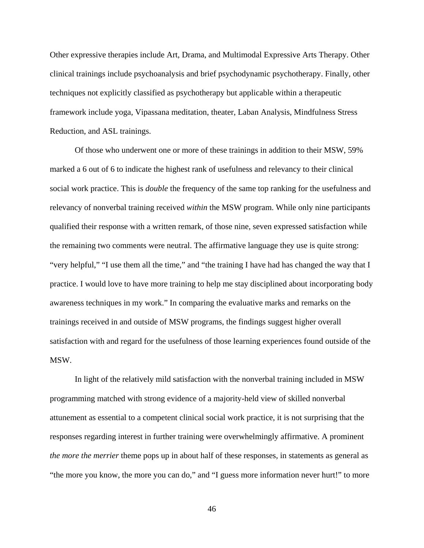Other expressive therapies include Art, Drama, and Multimodal Expressive Arts Therapy. Other clinical trainings include psychoanalysis and brief psychodynamic psychotherapy. Finally, other techniques not explicitly classified as psychotherapy but applicable within a therapeutic framework include yoga, Vipassana meditation, theater, Laban Analysis, Mindfulness Stress Reduction, and ASL trainings.

Of those who underwent one or more of these trainings in addition to their MSW, 59% marked a 6 out of 6 to indicate the highest rank of usefulness and relevancy to their clinical social work practice. This is *double* the frequency of the same top ranking for the usefulness and relevancy of nonverbal training received *within* the MSW program. While only nine participants qualified their response with a written remark, of those nine, seven expressed satisfaction while the remaining two comments were neutral. The affirmative language they use is quite strong: "very helpful," "I use them all the time," and "the training I have had has changed the way that I practice. I would love to have more training to help me stay disciplined about incorporating body awareness techniques in my work." In comparing the evaluative marks and remarks on the trainings received in and outside of MSW programs, the findings suggest higher overall satisfaction with and regard for the usefulness of those learning experiences found outside of the MSW.

In light of the relatively mild satisfaction with the nonverbal training included in MSW programming matched with strong evidence of a majority-held view of skilled nonverbal attunement as essential to a competent clinical social work practice, it is not surprising that the responses regarding interest in further training were overwhelmingly affirmative. A prominent *the more the merrier* theme pops up in about half of these responses, in statements as general as "the more you know, the more you can do," and "I guess more information never hurt!" to more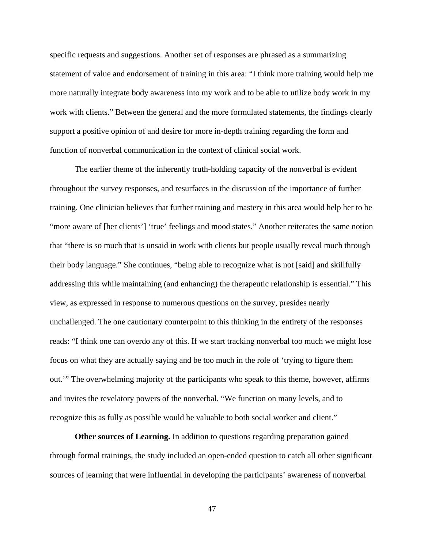specific requests and suggestions. Another set of responses are phrased as a summarizing statement of value and endorsement of training in this area: "I think more training would help me more naturally integrate body awareness into my work and to be able to utilize body work in my work with clients." Between the general and the more formulated statements, the findings clearly support a positive opinion of and desire for more in-depth training regarding the form and function of nonverbal communication in the context of clinical social work.

The earlier theme of the inherently truth-holding capacity of the nonverbal is evident throughout the survey responses, and resurfaces in the discussion of the importance of further training. One clinician believes that further training and mastery in this area would help her to be "more aware of [her clients'] 'true' feelings and mood states." Another reiterates the same notion that "there is so much that is unsaid in work with clients but people usually reveal much through their body language." She continues, "being able to recognize what is not [said] and skillfully addressing this while maintaining (and enhancing) the therapeutic relationship is essential." This view, as expressed in response to numerous questions on the survey, presides nearly unchallenged. The one cautionary counterpoint to this thinking in the entirety of the responses reads: "I think one can overdo any of this. If we start tracking nonverbal too much we might lose focus on what they are actually saying and be too much in the role of 'trying to figure them out.'" The overwhelming majority of the participants who speak to this theme, however, affirms and invites the revelatory powers of the nonverbal. "We function on many levels, and to recognize this as fully as possible would be valuable to both social worker and client."

**Other sources of Learning.** In addition to questions regarding preparation gained through formal trainings, the study included an open-ended question to catch all other significant sources of learning that were influential in developing the participants' awareness of nonverbal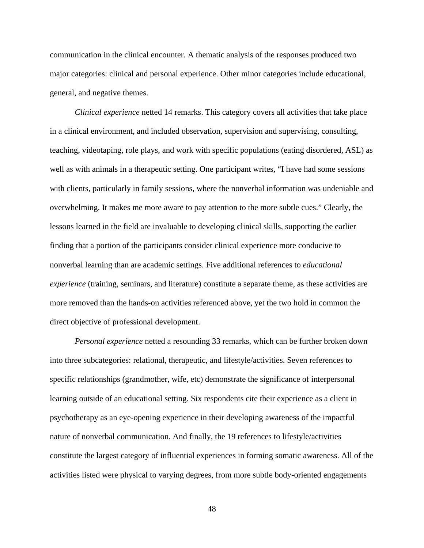communication in the clinical encounter. A thematic analysis of the responses produced two major categories: clinical and personal experience. Other minor categories include educational, general, and negative themes.

*Clinical experience* netted 14 remarks. This category covers all activities that take place in a clinical environment, and included observation, supervision and supervising, consulting, teaching, videotaping, role plays, and work with specific populations (eating disordered, ASL) as well as with animals in a therapeutic setting. One participant writes, "I have had some sessions with clients, particularly in family sessions, where the nonverbal information was undeniable and overwhelming. It makes me more aware to pay attention to the more subtle cues." Clearly, the lessons learned in the field are invaluable to developing clinical skills, supporting the earlier finding that a portion of the participants consider clinical experience more conducive to nonverbal learning than are academic settings. Five additional references to *educational experience* (training, seminars, and literature) constitute a separate theme, as these activities are more removed than the hands-on activities referenced above, yet the two hold in common the direct objective of professional development.

*Personal experience* netted a resounding 33 remarks, which can be further broken down into three subcategories: relational, therapeutic, and lifestyle/activities. Seven references to specific relationships (grandmother, wife, etc) demonstrate the significance of interpersonal learning outside of an educational setting. Six respondents cite their experience as a client in psychotherapy as an eye-opening experience in their developing awareness of the impactful nature of nonverbal communication. And finally, the 19 references to lifestyle/activities constitute the largest category of influential experiences in forming somatic awareness. All of the activities listed were physical to varying degrees, from more subtle body-oriented engagements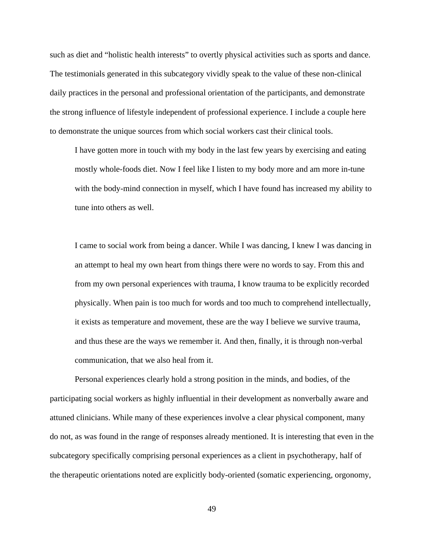such as diet and "holistic health interests" to overtly physical activities such as sports and dance. The testimonials generated in this subcategory vividly speak to the value of these non-clinical daily practices in the personal and professional orientation of the participants, and demonstrate the strong influence of lifestyle independent of professional experience. I include a couple here to demonstrate the unique sources from which social workers cast their clinical tools.

I have gotten more in touch with my body in the last few years by exercising and eating mostly whole-foods diet. Now I feel like I listen to my body more and am more in-tune with the body-mind connection in myself, which I have found has increased my ability to tune into others as well.

I came to social work from being a dancer. While I was dancing, I knew I was dancing in an attempt to heal my own heart from things there were no words to say. From this and from my own personal experiences with trauma, I know trauma to be explicitly recorded physically. When pain is too much for words and too much to comprehend intellectually, it exists as temperature and movement, these are the way I believe we survive trauma, and thus these are the ways we remember it. And then, finally, it is through non-verbal communication, that we also heal from it.

 Personal experiences clearly hold a strong position in the minds, and bodies, of the participating social workers as highly influential in their development as nonverbally aware and attuned clinicians. While many of these experiences involve a clear physical component, many do not, as was found in the range of responses already mentioned. It is interesting that even in the subcategory specifically comprising personal experiences as a client in psychotherapy, half of the therapeutic orientations noted are explicitly body-oriented (somatic experiencing, orgonomy,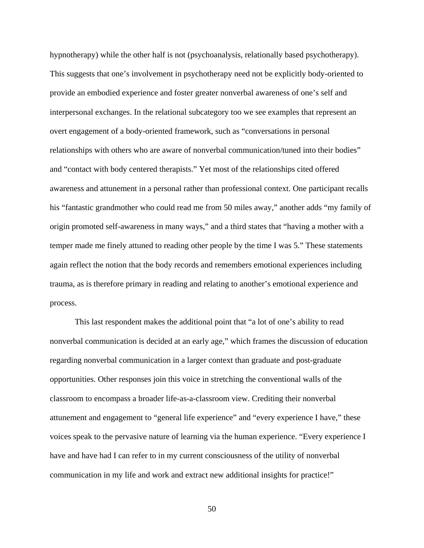hypnotherapy) while the other half is not (psychoanalysis, relationally based psychotherapy). This suggests that one's involvement in psychotherapy need not be explicitly body-oriented to provide an embodied experience and foster greater nonverbal awareness of one's self and interpersonal exchanges. In the relational subcategory too we see examples that represent an overt engagement of a body-oriented framework, such as "conversations in personal relationships with others who are aware of nonverbal communication/tuned into their bodies" and "contact with body centered therapists." Yet most of the relationships cited offered awareness and attunement in a personal rather than professional context. One participant recalls his "fantastic grandmother who could read me from 50 miles away," another adds "my family of origin promoted self-awareness in many ways," and a third states that "having a mother with a temper made me finely attuned to reading other people by the time I was 5." These statements again reflect the notion that the body records and remembers emotional experiences including trauma, as is therefore primary in reading and relating to another's emotional experience and process.

This last respondent makes the additional point that "a lot of one's ability to read nonverbal communication is decided at an early age," which frames the discussion of education regarding nonverbal communication in a larger context than graduate and post-graduate opportunities. Other responses join this voice in stretching the conventional walls of the classroom to encompass a broader life-as-a-classroom view. Crediting their nonverbal attunement and engagement to "general life experience" and "every experience I have," these voices speak to the pervasive nature of learning via the human experience. "Every experience I have and have had I can refer to in my current consciousness of the utility of nonverbal communication in my life and work and extract new additional insights for practice!"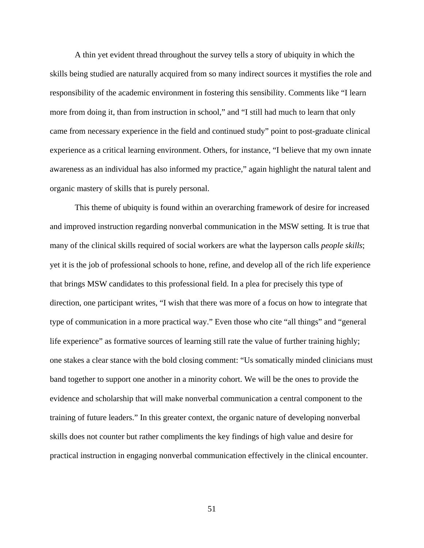A thin yet evident thread throughout the survey tells a story of ubiquity in which the skills being studied are naturally acquired from so many indirect sources it mystifies the role and responsibility of the academic environment in fostering this sensibility. Comments like "I learn more from doing it, than from instruction in school," and "I still had much to learn that only came from necessary experience in the field and continued study" point to post-graduate clinical experience as a critical learning environment. Others, for instance, "I believe that my own innate awareness as an individual has also informed my practice," again highlight the natural talent and organic mastery of skills that is purely personal.

This theme of ubiquity is found within an overarching framework of desire for increased and improved instruction regarding nonverbal communication in the MSW setting*.* It is true that many of the clinical skills required of social workers are what the layperson calls *people skills*; yet it is the job of professional schools to hone, refine, and develop all of the rich life experience that brings MSW candidates to this professional field. In a plea for precisely this type of direction, one participant writes, "I wish that there was more of a focus on how to integrate that type of communication in a more practical way." Even those who cite "all things" and "general life experience" as formative sources of learning still rate the value of further training highly; one stakes a clear stance with the bold closing comment: "Us somatically minded clinicians must band together to support one another in a minority cohort. We will be the ones to provide the evidence and scholarship that will make nonverbal communication a central component to the training of future leaders." In this greater context, the organic nature of developing nonverbal skills does not counter but rather compliments the key findings of high value and desire for practical instruction in engaging nonverbal communication effectively in the clinical encounter.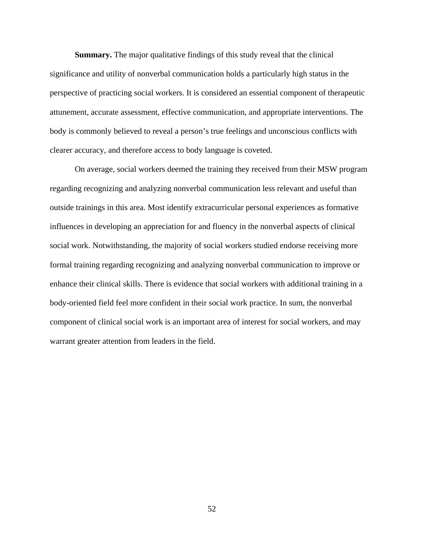**Summary.** The major qualitative findings of this study reveal that the clinical significance and utility of nonverbal communication holds a particularly high status in the perspective of practicing social workers. It is considered an essential component of therapeutic attunement, accurate assessment, effective communication, and appropriate interventions. The body is commonly believed to reveal a person's true feelings and unconscious conflicts with clearer accuracy, and therefore access to body language is coveted.

On average, social workers deemed the training they received from their MSW program regarding recognizing and analyzing nonverbal communication less relevant and useful than outside trainings in this area. Most identify extracurricular personal experiences as formative influences in developing an appreciation for and fluency in the nonverbal aspects of clinical social work. Notwithstanding, the majority of social workers studied endorse receiving more formal training regarding recognizing and analyzing nonverbal communication to improve or enhance their clinical skills. There is evidence that social workers with additional training in a body-oriented field feel more confident in their social work practice. In sum, the nonverbal component of clinical social work is an important area of interest for social workers, and may warrant greater attention from leaders in the field.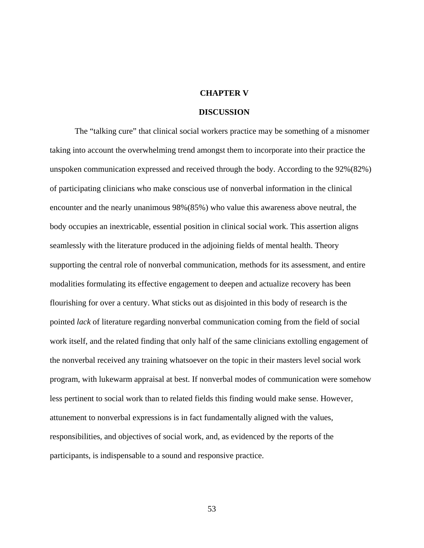## **CHAPTER V**

## **DISCUSSION**

 The "talking cure" that clinical social workers practice may be something of a misnomer taking into account the overwhelming trend amongst them to incorporate into their practice the unspoken communication expressed and received through the body. According to the 92%(82%) of participating clinicians who make conscious use of nonverbal information in the clinical encounter and the nearly unanimous 98%(85%) who value this awareness above neutral, the body occupies an inextricable, essential position in clinical social work. This assertion aligns seamlessly with the literature produced in the adjoining fields of mental health. Theory supporting the central role of nonverbal communication, methods for its assessment, and entire modalities formulating its effective engagement to deepen and actualize recovery has been flourishing for over a century. What sticks out as disjointed in this body of research is the pointed *lack* of literature regarding nonverbal communication coming from the field of social work itself, and the related finding that only half of the same clinicians extolling engagement of the nonverbal received any training whatsoever on the topic in their masters level social work program, with lukewarm appraisal at best. If nonverbal modes of communication were somehow less pertinent to social work than to related fields this finding would make sense. However, attunement to nonverbal expressions is in fact fundamentally aligned with the values, responsibilities, and objectives of social work, and, as evidenced by the reports of the participants, is indispensable to a sound and responsive practice.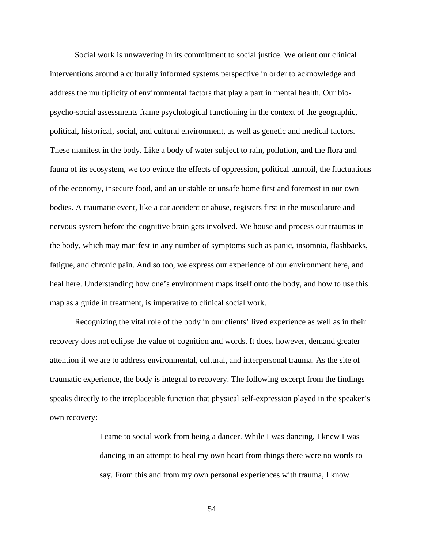Social work is unwavering in its commitment to social justice. We orient our clinical interventions around a culturally informed systems perspective in order to acknowledge and address the multiplicity of environmental factors that play a part in mental health. Our biopsycho-social assessments frame psychological functioning in the context of the geographic, political, historical, social, and cultural environment, as well as genetic and medical factors. These manifest in the body. Like a body of water subject to rain, pollution, and the flora and fauna of its ecosystem, we too evince the effects of oppression, political turmoil, the fluctuations of the economy, insecure food, and an unstable or unsafe home first and foremost in our own bodies. A traumatic event, like a car accident or abuse, registers first in the musculature and nervous system before the cognitive brain gets involved. We house and process our traumas in the body, which may manifest in any number of symptoms such as panic, insomnia, flashbacks, fatigue, and chronic pain. And so too, we express our experience of our environment here, and heal here. Understanding how one's environment maps itself onto the body, and how to use this map as a guide in treatment, is imperative to clinical social work.

 Recognizing the vital role of the body in our clients' lived experience as well as in their recovery does not eclipse the value of cognition and words. It does, however, demand greater attention if we are to address environmental, cultural, and interpersonal trauma. As the site of traumatic experience, the body is integral to recovery. The following excerpt from the findings speaks directly to the irreplaceable function that physical self-expression played in the speaker's own recovery:

> I came to social work from being a dancer. While I was dancing, I knew I was dancing in an attempt to heal my own heart from things there were no words to say. From this and from my own personal experiences with trauma, I know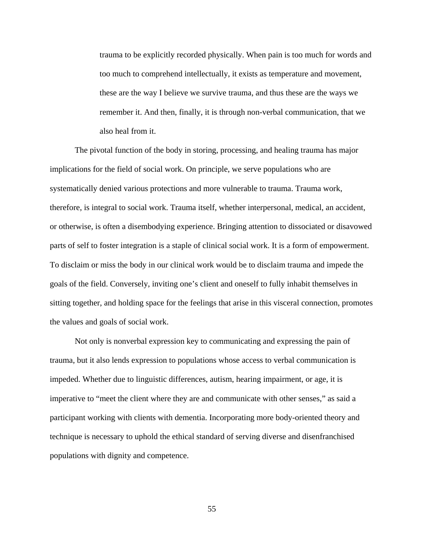trauma to be explicitly recorded physically. When pain is too much for words and too much to comprehend intellectually, it exists as temperature and movement, these are the way I believe we survive trauma, and thus these are the ways we remember it. And then, finally, it is through non-verbal communication, that we also heal from it.

The pivotal function of the body in storing, processing, and healing trauma has major implications for the field of social work. On principle, we serve populations who are systematically denied various protections and more vulnerable to trauma. Trauma work, therefore, is integral to social work. Trauma itself, whether interpersonal, medical, an accident, or otherwise, is often a disembodying experience. Bringing attention to dissociated or disavowed parts of self to foster integration is a staple of clinical social work. It is a form of empowerment. To disclaim or miss the body in our clinical work would be to disclaim trauma and impede the goals of the field. Conversely, inviting one's client and oneself to fully inhabit themselves in sitting together, and holding space for the feelings that arise in this visceral connection, promotes the values and goals of social work.

Not only is nonverbal expression key to communicating and expressing the pain of trauma, but it also lends expression to populations whose access to verbal communication is impeded. Whether due to linguistic differences, autism, hearing impairment, or age, it is imperative to "meet the client where they are and communicate with other senses," as said a participant working with clients with dementia. Incorporating more body-oriented theory and technique is necessary to uphold the ethical standard of serving diverse and disenfranchised populations with dignity and competence.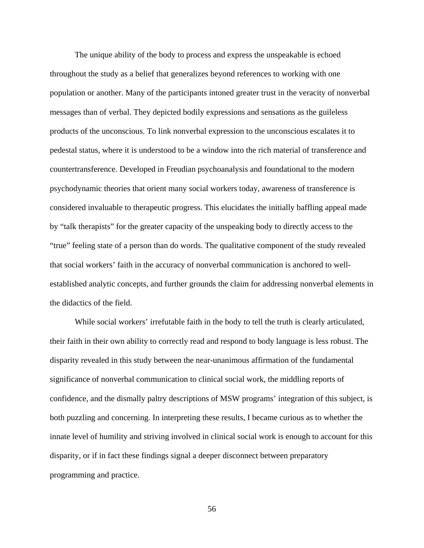The unique ability of the body to process and express the unspeakable is echoed throughout the study as a belief that generalizes beyond references to working with one population or another. Many of the participants intoned greater trust in the veracity of nonverbal messages than of verbal. They depicted bodily expressions and sensations as the guileless products of the unconscious. To link nonverbal expression to the unconscious escalates it to pedestal status, where it is understood to be a window into the rich material of transference and countertransference. Developed in Freudian psychoanalysis and foundational to the modern psychodynamic theories that orient many social workers today, awareness of transference is considered invaluable to therapeutic progress. This elucidates the initially baffling appeal made by "talk therapists" for the greater capacity of the unspeaking body to directly access to the "true" feeling state of a person than do words. The qualitative component of the study revealed that social workers' faith in the accuracy of nonverbal communication is anchored to wellestablished analytic concepts, and further grounds the claim for addressing nonverbal elements in the didactics of the field.

While social workers' irrefutable faith in the body to tell the truth is clearly articulated, their faith in their own ability to correctly read and respond to body language is less robust. The disparity revealed in this study between the near-unanimous affirmation of the fundamental significance of nonverbal communication to clinical social work, the middling reports of confidence, and the dismally paltry descriptions of MSW programs' integration of this subject, is both puzzling and concerning. In interpreting these results, I became curious as to whether the innate level of humility and striving involved in clinical social work is enough to account for this disparity, or if in fact these findings signal a deeper disconnect between preparatory programming and practice.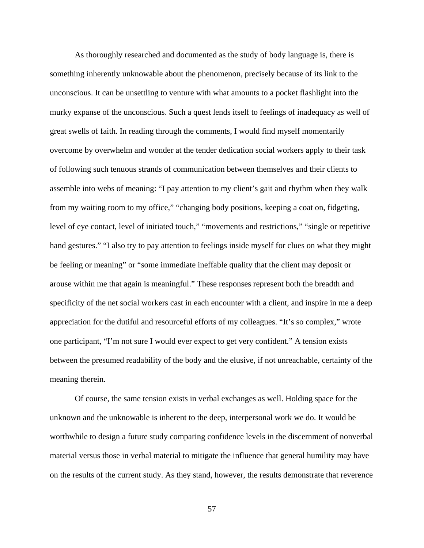As thoroughly researched and documented as the study of body language is, there is something inherently unknowable about the phenomenon, precisely because of its link to the unconscious. It can be unsettling to venture with what amounts to a pocket flashlight into the murky expanse of the unconscious. Such a quest lends itself to feelings of inadequacy as well of great swells of faith. In reading through the comments, I would find myself momentarily overcome by overwhelm and wonder at the tender dedication social workers apply to their task of following such tenuous strands of communication between themselves and their clients to assemble into webs of meaning: "I pay attention to my client's gait and rhythm when they walk from my waiting room to my office," "changing body positions, keeping a coat on, fidgeting, level of eye contact, level of initiated touch," "movements and restrictions," "single or repetitive hand gestures." "I also try to pay attention to feelings inside myself for clues on what they might be feeling or meaning" or "some immediate ineffable quality that the client may deposit or arouse within me that again is meaningful." These responses represent both the breadth and specificity of the net social workers cast in each encounter with a client, and inspire in me a deep appreciation for the dutiful and resourceful efforts of my colleagues. "It's so complex," wrote one participant, "I'm not sure I would ever expect to get very confident." A tension exists between the presumed readability of the body and the elusive, if not unreachable, certainty of the meaning therein.

Of course, the same tension exists in verbal exchanges as well. Holding space for the unknown and the unknowable is inherent to the deep, interpersonal work we do. It would be worthwhile to design a future study comparing confidence levels in the discernment of nonverbal material versus those in verbal material to mitigate the influence that general humility may have on the results of the current study. As they stand, however, the results demonstrate that reverence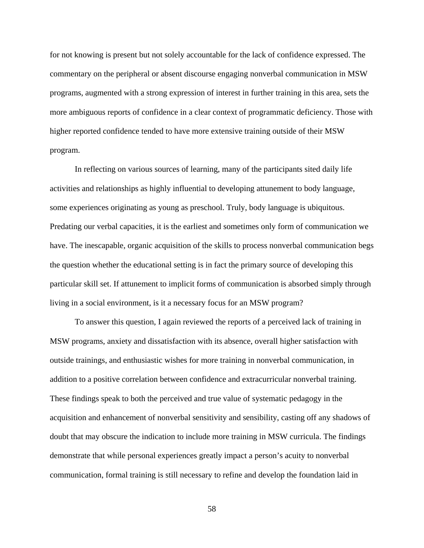for not knowing is present but not solely accountable for the lack of confidence expressed. The commentary on the peripheral or absent discourse engaging nonverbal communication in MSW programs, augmented with a strong expression of interest in further training in this area, sets the more ambiguous reports of confidence in a clear context of programmatic deficiency. Those with higher reported confidence tended to have more extensive training outside of their MSW program.

In reflecting on various sources of learning, many of the participants sited daily life activities and relationships as highly influential to developing attunement to body language, some experiences originating as young as preschool. Truly, body language is ubiquitous. Predating our verbal capacities, it is the earliest and sometimes only form of communication we have. The inescapable, organic acquisition of the skills to process nonverbal communication begs the question whether the educational setting is in fact the primary source of developing this particular skill set. If attunement to implicit forms of communication is absorbed simply through living in a social environment, is it a necessary focus for an MSW program?

To answer this question, I again reviewed the reports of a perceived lack of training in MSW programs, anxiety and dissatisfaction with its absence, overall higher satisfaction with outside trainings, and enthusiastic wishes for more training in nonverbal communication, in addition to a positive correlation between confidence and extracurricular nonverbal training. These findings speak to both the perceived and true value of systematic pedagogy in the acquisition and enhancement of nonverbal sensitivity and sensibility, casting off any shadows of doubt that may obscure the indication to include more training in MSW curricula. The findings demonstrate that while personal experiences greatly impact a person's acuity to nonverbal communication, formal training is still necessary to refine and develop the foundation laid in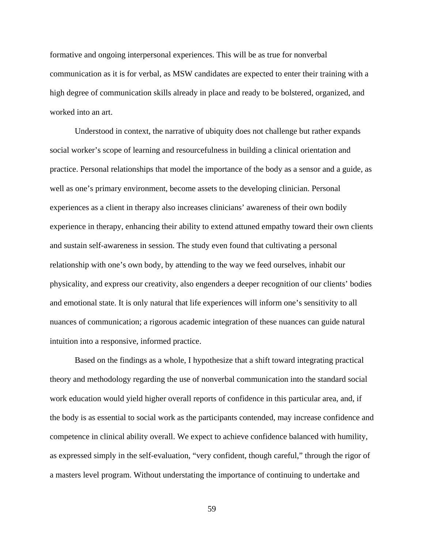formative and ongoing interpersonal experiences. This will be as true for nonverbal communication as it is for verbal, as MSW candidates are expected to enter their training with a high degree of communication skills already in place and ready to be bolstered, organized, and worked into an art.

Understood in context, the narrative of ubiquity does not challenge but rather expands social worker's scope of learning and resourcefulness in building a clinical orientation and practice. Personal relationships that model the importance of the body as a sensor and a guide, as well as one's primary environment, become assets to the developing clinician. Personal experiences as a client in therapy also increases clinicians' awareness of their own bodily experience in therapy, enhancing their ability to extend attuned empathy toward their own clients and sustain self-awareness in session. The study even found that cultivating a personal relationship with one's own body, by attending to the way we feed ourselves, inhabit our physicality, and express our creativity, also engenders a deeper recognition of our clients' bodies and emotional state. It is only natural that life experiences will inform one's sensitivity to all nuances of communication; a rigorous academic integration of these nuances can guide natural intuition into a responsive, informed practice.

Based on the findings as a whole, I hypothesize that a shift toward integrating practical theory and methodology regarding the use of nonverbal communication into the standard social work education would yield higher overall reports of confidence in this particular area, and, if the body is as essential to social work as the participants contended, may increase confidence and competence in clinical ability overall. We expect to achieve confidence balanced with humility, as expressed simply in the self-evaluation, "very confident, though careful," through the rigor of a masters level program. Without understating the importance of continuing to undertake and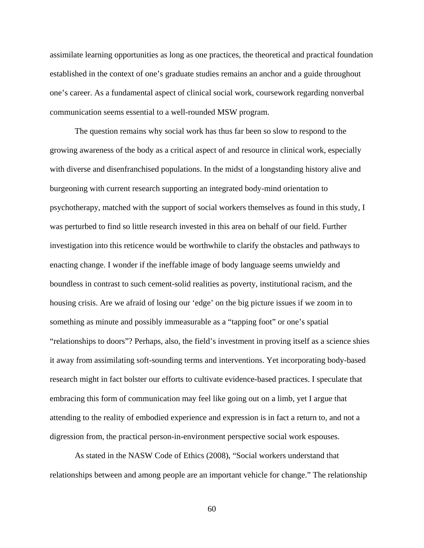assimilate learning opportunities as long as one practices, the theoretical and practical foundation established in the context of one's graduate studies remains an anchor and a guide throughout one's career. As a fundamental aspect of clinical social work, coursework regarding nonverbal communication seems essential to a well-rounded MSW program.

The question remains why social work has thus far been so slow to respond to the growing awareness of the body as a critical aspect of and resource in clinical work, especially with diverse and disenfranchised populations. In the midst of a longstanding history alive and burgeoning with current research supporting an integrated body-mind orientation to psychotherapy, matched with the support of social workers themselves as found in this study, I was perturbed to find so little research invested in this area on behalf of our field. Further investigation into this reticence would be worthwhile to clarify the obstacles and pathways to enacting change. I wonder if the ineffable image of body language seems unwieldy and boundless in contrast to such cement-solid realities as poverty, institutional racism, and the housing crisis. Are we afraid of losing our 'edge' on the big picture issues if we zoom in to something as minute and possibly immeasurable as a "tapping foot" or one's spatial "relationships to doors"? Perhaps, also, the field's investment in proving itself as a science shies it away from assimilating soft-sounding terms and interventions. Yet incorporating body-based research might in fact bolster our efforts to cultivate evidence-based practices. I speculate that embracing this form of communication may feel like going out on a limb, yet I argue that attending to the reality of embodied experience and expression is in fact a return to, and not a digression from, the practical person-in-environment perspective social work espouses.

As stated in the NASW Code of Ethics (2008), "Social workers understand that relationships between and among people are an important vehicle for change." The relationship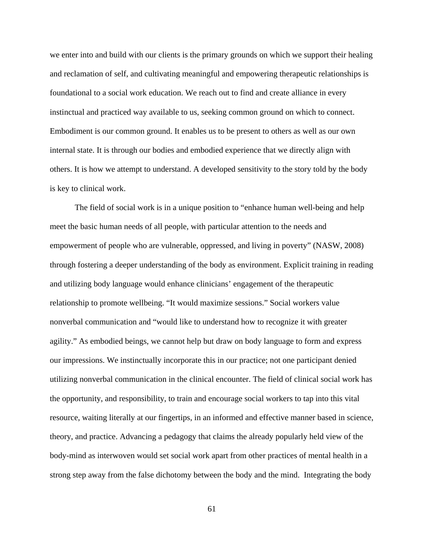we enter into and build with our clients is the primary grounds on which we support their healing and reclamation of self, and cultivating meaningful and empowering therapeutic relationships is foundational to a social work education. We reach out to find and create alliance in every instinctual and practiced way available to us, seeking common ground on which to connect. Embodiment is our common ground. It enables us to be present to others as well as our own internal state. It is through our bodies and embodied experience that we directly align with others. It is how we attempt to understand. A developed sensitivity to the story told by the body is key to clinical work.

 The field of social work is in a unique position to "enhance human well-being and help meet the basic human needs of all people, with particular attention to the needs and empowerment of people who are vulnerable, oppressed, and living in poverty" (NASW, 2008) through fostering a deeper understanding of the body as environment. Explicit training in reading and utilizing body language would enhance clinicians' engagement of the therapeutic relationship to promote wellbeing. "It would maximize sessions." Social workers value nonverbal communication and "would like to understand how to recognize it with greater agility." As embodied beings, we cannot help but draw on body language to form and express our impressions. We instinctually incorporate this in our practice; not one participant denied utilizing nonverbal communication in the clinical encounter. The field of clinical social work has the opportunity, and responsibility, to train and encourage social workers to tap into this vital resource, waiting literally at our fingertips, in an informed and effective manner based in science, theory, and practice. Advancing a pedagogy that claims the already popularly held view of the body-mind as interwoven would set social work apart from other practices of mental health in a strong step away from the false dichotomy between the body and the mind. Integrating the body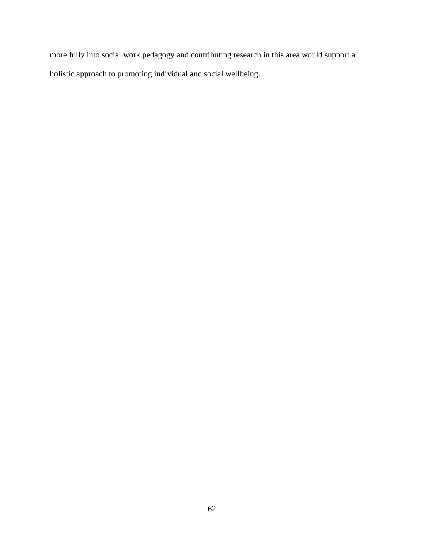more fully into social work pedagogy and contributing research in this area would support a holistic approach to promoting individual and social wellbeing.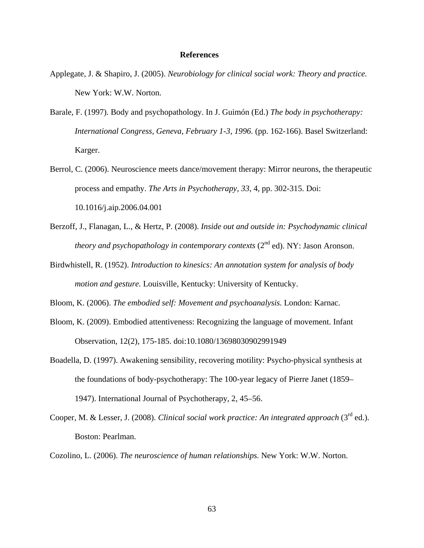## **References**

- Applegate, J. & Shapiro, J. (2005). *Neurobiology for clinical social work: Theory and practice.* New York: W.W. Norton.
- Barale, F. (1997). Body and psychopathology. In J. Guimón (Ed.) *The body in psychotherapy: International Congress, Geneva, February 1-3, 1996.* (pp. 162-166). Basel Switzerland: Karger.
- Berrol, C. (2006). Neuroscience meets dance/movement therapy: Mirror neurons, the therapeutic process and empathy. *The Arts in Psychotherapy, 33*, 4, pp. 302-315. Doi: 10.1016/j.aip.2006.04.001
- Berzoff, J., Flanagan, L., & Hertz, P. (2008). *Inside out and outside in: Psychodynamic clinical theory and psychopathology in contemporary contexts* (2<sup>nd</sup> ed). NY: Jason Aronson.
- Birdwhistell, R. (1952). *Introduction to kinesics: An annotation system for analysis of body motion and gesture.* Louisville, Kentucky: University of Kentucky.
- Bloom, K. (2006). *The embodied self: Movement and psychoanalysis.* London: Karnac.
- Bloom, K. (2009). Embodied attentiveness: Recognizing the language of movement. Infant Observation, 12(2), 175-185. doi:10.1080/13698030902991949
- Boadella, D. (1997). Awakening sensibility, recovering motility: Psycho-physical synthesis at the foundations of body-psychotherapy: The 100-year legacy of Pierre Janet (1859– 1947). International Journal of Psychotherapy, 2, 45–56.
- Cooper, M. & Lesser, J. (2008). *Clinical social work practice: An integrated approach* (3rd ed.). Boston: Pearlman.
- Cozolino, L. (2006). *The neuroscience of human relationships.* New York: W.W. Norton.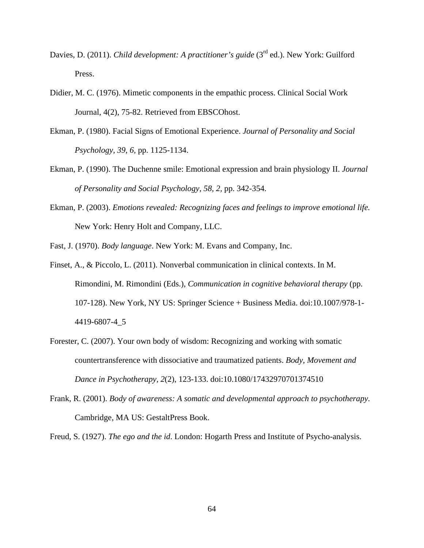- Davies, D. (2011). *Child development: A practitioner's guide* (3<sup>rd</sup> ed.). New York: Guilford Press.
- Didier, M. C. (1976). Mimetic components in the empathic process. Clinical Social Work Journal, 4(2), 75-82. Retrieved from EBSCOhost.
- Ekman, P. (1980). Facial Signs of Emotional Experience. *Journal of Personality and Social Psychology, 39, 6,* pp. 1125-1134.
- Ekman, P. (1990). The Duchenne smile: Emotional expression and brain physiology II. *Journal of Personality and Social Psychology, 58, 2,* pp. 342-354.
- Ekman, P. (2003). *Emotions revealed: Recognizing faces and feelings to improve emotional life.* New York: Henry Holt and Company, LLC.
- Fast, J. (1970). *Body language*. New York: M. Evans and Company, Inc.
- Finset, A., & Piccolo, L. (2011). Nonverbal communication in clinical contexts. In M. Rimondini, M. Rimondini (Eds.), *Communication in cognitive behavioral therapy* (pp. 107-128). New York, NY US: Springer Science + Business Media. doi:10.1007/978-1- 4419-6807-4\_5
- Forester, C. (2007). Your own body of wisdom: Recognizing and working with somatic countertransference with dissociative and traumatized patients. *Body, Movement and Dance in Psychotherapy, 2*(2), 123-133. doi:10.1080/17432970701374510
- Frank, R. (2001). *Body of awareness: A somatic and developmental approach to psychotherapy.* Cambridge, MA US: GestaltPress Book.

Freud, S. (1927). *The ego and the id*. London: Hogarth Press and Institute of Psycho-analysis.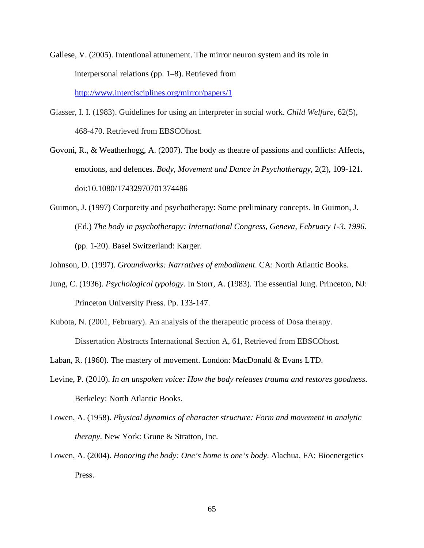- Gallese, V. (2005). Intentional attunement. The mirror neuron system and its role in interpersonal relations (pp. 1–8). Retrieved from http://www.intercisciplines.org/mirror/papers/1
- Glasser, I. I. (1983). Guidelines for using an interpreter in social work. *Child Welfare*, 62(5), 468-470. Retrieved from EBSCOhost.
- Govoni, R., & Weatherhogg, A. (2007). The body as theatre of passions and conflicts: Affects, emotions, and defences. *Body, Movement and Dance in Psychotherapy*, 2(2), 109-121. doi:10.1080/17432970701374486
- Guimon, J. (1997) Corporeity and psychotherapy: Some preliminary concepts. In Guimon, J. (Ed.) *The body in psychotherapy: International Congress, Geneva, February 1-3, 1996.* (pp. 1-20). Basel Switzerland: Karger.
- Johnson, D. (1997). *Groundworks: Narratives of embodiment*. CA: North Atlantic Books.
- Jung, C. (1936). *Psychological typology.* In Storr, A. (1983). The essential Jung. Princeton, NJ: Princeton University Press. Pp. 133-147.
- Kubota, N. (2001, February). An analysis of the therapeutic process of Dosa therapy. Dissertation Abstracts International Section A, 61, Retrieved from EBSCOhost.
- Laban, R. (1960). The mastery of movement. London: MacDonald & Evans LTD.
- Levine, P. (2010). *In an unspoken voice: How the body releases trauma and restores goodness*. Berkeley: North Atlantic Books.
- Lowen, A. (1958). *Physical dynamics of character structure: Form and movement in analytic therapy.* New York: Grune & Stratton, Inc.
- Lowen, A. (2004). *Honoring the body: One's home is one's body*. Alachua, FA: Bioenergetics Press.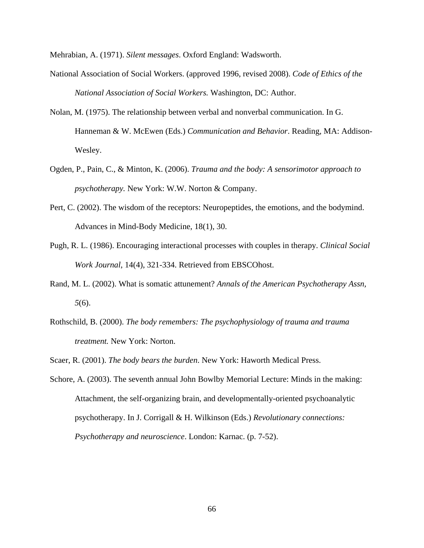Mehrabian, A. (1971). *Silent messages*. Oxford England: Wadsworth.

- National Association of Social Workers. (approved 1996, revised 2008). *Code of Ethics of the National Association of Social Workers.* Washington, DC: Author.
- Nolan, M. (1975). The relationship between verbal and nonverbal communication. In G. Hanneman & W. McEwen (Eds.) *Communication and Behavior*. Reading, MA: Addison-Wesley.
- Ogden, P., Pain, C., & Minton, K. (2006). *Trauma and the body: A sensorimotor approach to psychotherapy.* New York: W.W. Norton & Company.
- Pert, C. (2002). The wisdom of the receptors: Neuropeptides, the emotions, and the bodymind. Advances in Mind-Body Medicine, 18(1), 30.
- Pugh, R. L. (1986). Encouraging interactional processes with couples in therapy. *Clinical Social Work Journal*, 14(4), 321-334. Retrieved from EBSCOhost.
- Rand, M. L. (2002). What is somatic attunement? *Annals of the American Psychotherapy Assn, 5*(6).
- Rothschild, B. (2000). *The body remembers: The psychophysiology of trauma and trauma treatment.* New York: Norton.

Scaer, R. (2001). *The body bears the burden*. New York: Haworth Medical Press.

Schore, A. (2003). The seventh annual John Bowlby Memorial Lecture: Minds in the making: Attachment, the self-organizing brain, and developmentally-oriented psychoanalytic psychotherapy. In J. Corrigall & H. Wilkinson (Eds.) *Revolutionary connections: Psychotherapy and neuroscience*. London: Karnac. (p. 7-52).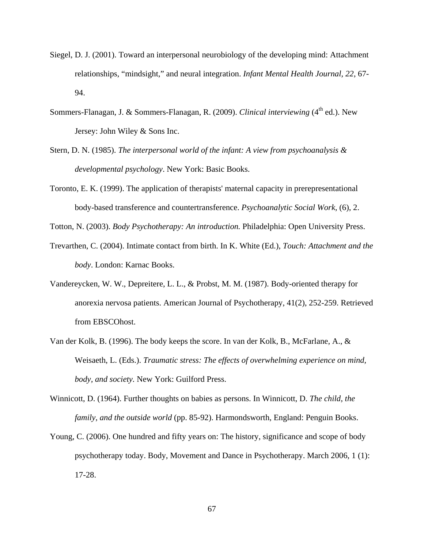- Siegel, D. J. (2001). Toward an interpersonal neurobiology of the developing mind: Attachment relationships, "mindsight," and neural integration. *Infant Mental Health Journal, 22*, 67- 94.
- Sommers-Flanagan, J. & Sommers-Flanagan, R. (2009). *Clinical interviewing* (4<sup>th</sup> ed.). New Jersey: John Wiley & Sons Inc.
- Stern, D. N. (1985). *The interpersonal world of the infant: A view from psychoanalysis & developmental psychology*. New York: Basic Books.
- Toronto, E. K. (1999). The application of therapists' maternal capacity in prerepresentational body-based transference and countertransference. *Psychoanalytic Social Work*, (6), 2.

Totton, N. (2003). *Body Psychotherapy: An introduction.* Philadelphia: Open University Press.

- Trevarthen, C. (2004). Intimate contact from birth. In K. White (Ed.), *Touch: Attachment and the body*. London: Karnac Books.
- Vandereycken, W. W., Depreitere, L. L., & Probst, M. M. (1987). Body-oriented therapy for anorexia nervosa patients. American Journal of Psychotherapy, 41(2), 252-259. Retrieved from EBSCOhost.
- Van der Kolk, B. (1996). The body keeps the score. In van der Kolk, B., McFarlane, A., & Weisaeth, L. (Eds.). *Traumatic stress: The effects of overwhelming experience on mind, body, and society.* New York: Guilford Press.
- Winnicott, D. (1964). Further thoughts on babies as persons. In Winnicott, D. *The child, the family, and the outside world* (pp. 85-92). Harmondsworth, England: Penguin Books.
- Young, C. (2006). One hundred and fifty years on: The history, significance and scope of body psychotherapy today. Body, Movement and Dance in Psychotherapy. March 2006, 1 (1): 17-28.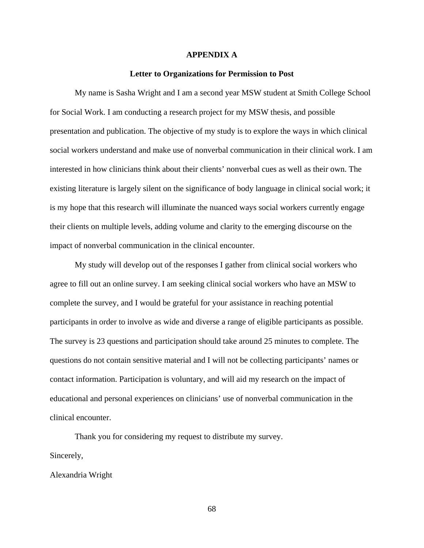### **APPENDIX A**

### **Letter to Organizations for Permission to Post**

My name is Sasha Wright and I am a second year MSW student at Smith College School for Social Work. I am conducting a research project for my MSW thesis, and possible presentation and publication. The objective of my study is to explore the ways in which clinical social workers understand and make use of nonverbal communication in their clinical work. I am interested in how clinicians think about their clients' nonverbal cues as well as their own. The existing literature is largely silent on the significance of body language in clinical social work; it is my hope that this research will illuminate the nuanced ways social workers currently engage their clients on multiple levels, adding volume and clarity to the emerging discourse on the impact of nonverbal communication in the clinical encounter.

My study will develop out of the responses I gather from clinical social workers who agree to fill out an online survey. I am seeking clinical social workers who have an MSW to complete the survey, and I would be grateful for your assistance in reaching potential participants in order to involve as wide and diverse a range of eligible participants as possible. The survey is 23 questions and participation should take around 25 minutes to complete. The questions do not contain sensitive material and I will not be collecting participants' names or contact information. Participation is voluntary, and will aid my research on the impact of educational and personal experiences on clinicians' use of nonverbal communication in the clinical encounter.

Thank you for considering my request to distribute my survey. Sincerely,

Alexandria Wright

68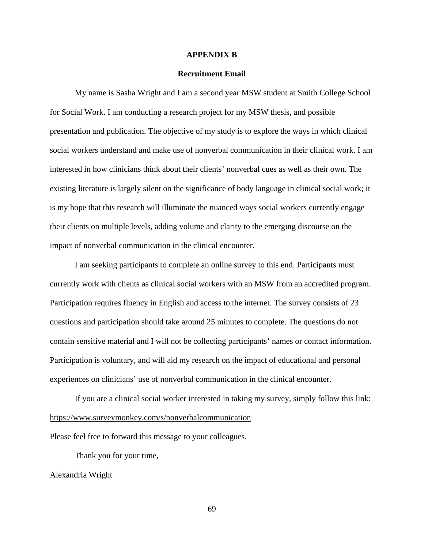### **APPENDIX B**

### **Recruitment Email**

My name is Sasha Wright and I am a second year MSW student at Smith College School for Social Work. I am conducting a research project for my MSW thesis, and possible presentation and publication. The objective of my study is to explore the ways in which clinical social workers understand and make use of nonverbal communication in their clinical work. I am interested in how clinicians think about their clients' nonverbal cues as well as their own. The existing literature is largely silent on the significance of body language in clinical social work; it is my hope that this research will illuminate the nuanced ways social workers currently engage their clients on multiple levels, adding volume and clarity to the emerging discourse on the impact of nonverbal communication in the clinical encounter.

I am seeking participants to complete an online survey to this end. Participants must currently work with clients as clinical social workers with an MSW from an accredited program. Participation requires fluency in English and access to the internet. The survey consists of 23 questions and participation should take around 25 minutes to complete. The questions do not contain sensitive material and I will not be collecting participants' names or contact information. Participation is voluntary, and will aid my research on the impact of educational and personal experiences on clinicians' use of nonverbal communication in the clinical encounter.

If you are a clinical social worker interested in taking my survey, simply follow this link: https://www.surveymonkey.com/s/nonverbalcommunication

Please feel free to forward this message to your colleagues.

Thank you for your time,

Alexandria Wright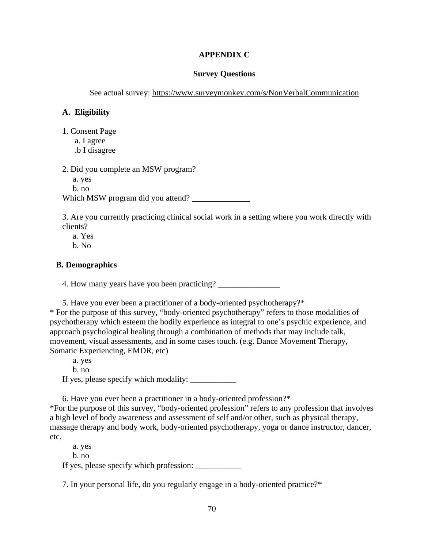# **APPENDIX C**

### **Survey Questions**

See actual survey: https://www.surveymonkey.com/s/NonVerbalCommunication

# **A. Eligibility**

- 1. Consent Page
	- a. I agree
	- .b I disagree

2. Did you complete an MSW program? a. yes b. no Which MSW program did you attend? \_\_\_\_\_\_\_\_\_\_\_\_\_\_

3. Are you currently practicing clinical social work in a setting where you work directly with clients?

- a. Yes
- b. No

# **B. Demographics**

4. How many years have you been practicing?

5. Have you ever been a practitioner of a body-oriented psychotherapy?\* \* For the purpose of this survey, "body-oriented psychotherapy" refers to those modalities of psychotherapy which esteem the bodily experience as integral to one's psychic experience, and approach psychological healing through a combination of methods that may include talk, movement, visual assessments, and in some cases touch. (e.g. Dance Movement Therapy, Somatic Experiencing, EMDR, etc)

 a. yes b. no If yes, please specify which modality: \_\_\_\_\_\_\_\_\_\_\_

6. Have you ever been a practitioner in a body-oriented profession?\*

\*For the purpose of this survey, "body-oriented profession" refers to any profession that involves a high level of body awareness and assessment of self and/or other, such as physical therapy, massage therapy and body work, body-oriented psychotherapy, yoga or dance instructor, dancer, etc.

a. yes

b. no

If yes, please specify which profession:

7. In your personal life, do you regularly engage in a body-oriented practice?\*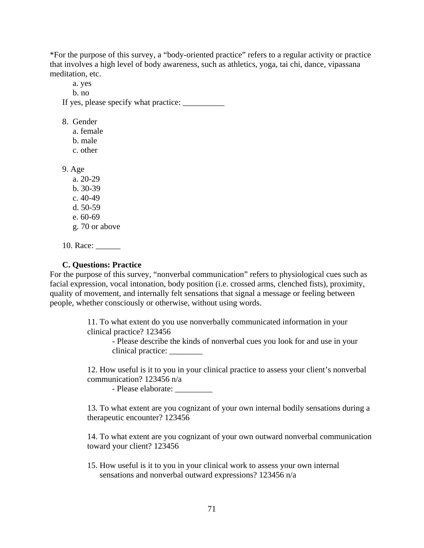\*For the purpose of this survey, a "body-oriented practice" refers to a regular activity or practice that involves a high level of body awareness, such as athletics, yoga, tai chi, dance, vipassana meditation, etc.

 a. yes b. no If yes, please specify what practice: \_\_\_\_\_\_\_\_\_\_

8. Gender

 a. female b. male

c. other

9. Age

 a. 20-29 b. 30-39 c. 40-49 d. 50-59 e. 60-69

- g. 70 or above
- 10. Race: \_\_\_\_\_\_\_

## **C. Questions: Practice**

For the purpose of this survey, "nonverbal communication" refers to physiological cues such as facial expression, vocal intonation, body position (i.e. crossed arms, clenched fists), proximity, quality of movement, and internally felt sensations that signal a message or feeling between people, whether consciously or otherwise, without using words.

> 11. To what extent do you use nonverbally communicated information in your clinical practice? 123456

- Please describe the kinds of nonverbal cues you look for and use in your clinical practice: \_\_\_\_\_\_\_\_

12. How useful is it to you in your clinical practice to assess your client's nonverbal communication? 123456 n/a

- Please elaborate: \_\_\_\_\_\_\_\_\_

13. To what extent are you cognizant of your own internal bodily sensations during a therapeutic encounter? 123456

14. To what extent are you cognizant of your own outward nonverbal communication toward your client? 123456

15. How useful is it to you in your clinical work to assess your own internal sensations and nonverbal outward expressions? 123456 n/a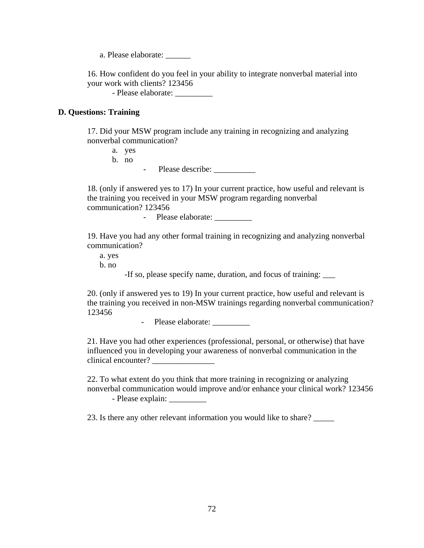a. Please elaborate: \_\_\_\_\_\_

16. How confident do you feel in your ability to integrate nonverbal material into your work with clients? 123456

- Please elaborate: \_\_\_\_\_\_\_\_\_

# **D. Questions: Training**

17. Did your MSW program include any training in recognizing and analyzing nonverbal communication?

a. yes b. no

- Please describe:

18. (only if answered yes to 17) In your current practice, how useful and relevant is the training you received in your MSW program regarding nonverbal communication? 123456

- Please elaborate:

19. Have you had any other formal training in recognizing and analyzing nonverbal communication?

a. yes b. no

-If so, please specify name, duration, and focus of training:

20. (only if answered yes to 19) In your current practice, how useful and relevant is the training you received in non-MSW trainings regarding nonverbal communication? 123456

- Please elaborate: \_\_\_\_\_\_\_\_\_\_

21. Have you had other experiences (professional, personal, or otherwise) that have influenced you in developing your awareness of nonverbal communication in the clinical encounter? \_\_\_\_\_\_\_\_\_\_\_\_\_\_\_

22. To what extent do you think that more training in recognizing or analyzing nonverbal communication would improve and/or enhance your clinical work? 123456 - Please explain: \_\_\_\_\_\_\_\_\_

23. Is there any other relevant information you would like to share?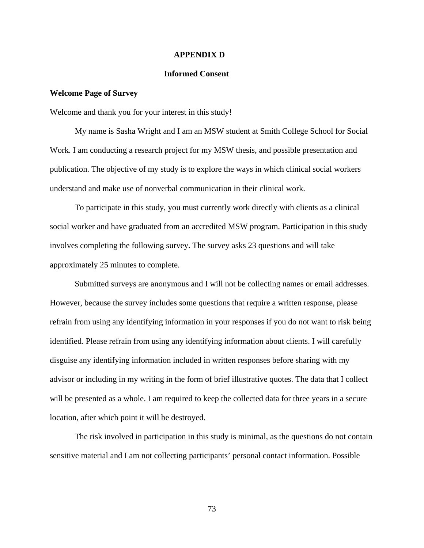### **APPENDIX D**

### **Informed Consent**

### **Welcome Page of Survey**

Welcome and thank you for your interest in this study!

My name is Sasha Wright and I am an MSW student at Smith College School for Social Work. I am conducting a research project for my MSW thesis, and possible presentation and publication. The objective of my study is to explore the ways in which clinical social workers understand and make use of nonverbal communication in their clinical work.

To participate in this study, you must currently work directly with clients as a clinical social worker and have graduated from an accredited MSW program. Participation in this study involves completing the following survey. The survey asks 23 questions and will take approximately 25 minutes to complete.

Submitted surveys are anonymous and I will not be collecting names or email addresses. However, because the survey includes some questions that require a written response, please refrain from using any identifying information in your responses if you do not want to risk being identified. Please refrain from using any identifying information about clients. I will carefully disguise any identifying information included in written responses before sharing with my advisor or including in my writing in the form of brief illustrative quotes. The data that I collect will be presented as a whole. I am required to keep the collected data for three years in a secure location, after which point it will be destroyed.

The risk involved in participation in this study is minimal, as the questions do not contain sensitive material and I am not collecting participants' personal contact information. Possible

73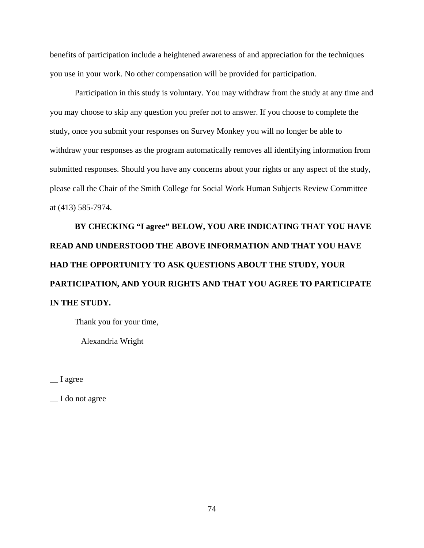benefits of participation include a heightened awareness of and appreciation for the techniques you use in your work. No other compensation will be provided for participation.

Participation in this study is voluntary. You may withdraw from the study at any time and you may choose to skip any question you prefer not to answer. If you choose to complete the study, once you submit your responses on Survey Monkey you will no longer be able to withdraw your responses as the program automatically removes all identifying information from submitted responses. Should you have any concerns about your rights or any aspect of the study, please call the Chair of the Smith College for Social Work Human Subjects Review Committee at (413) 585-7974.

**BY CHECKING "I agree" BELOW, YOU ARE INDICATING THAT YOU HAVE READ AND UNDERSTOOD THE ABOVE INFORMATION AND THAT YOU HAVE HAD THE OPPORTUNITY TO ASK QUESTIONS ABOUT THE STUDY, YOUR PARTICIPATION, AND YOUR RIGHTS AND THAT YOU AGREE TO PARTICIPATE IN THE STUDY.** 

Thank you for your time,

Alexandria Wright

 $\equiv$  I agree

\_\_ I do not agree